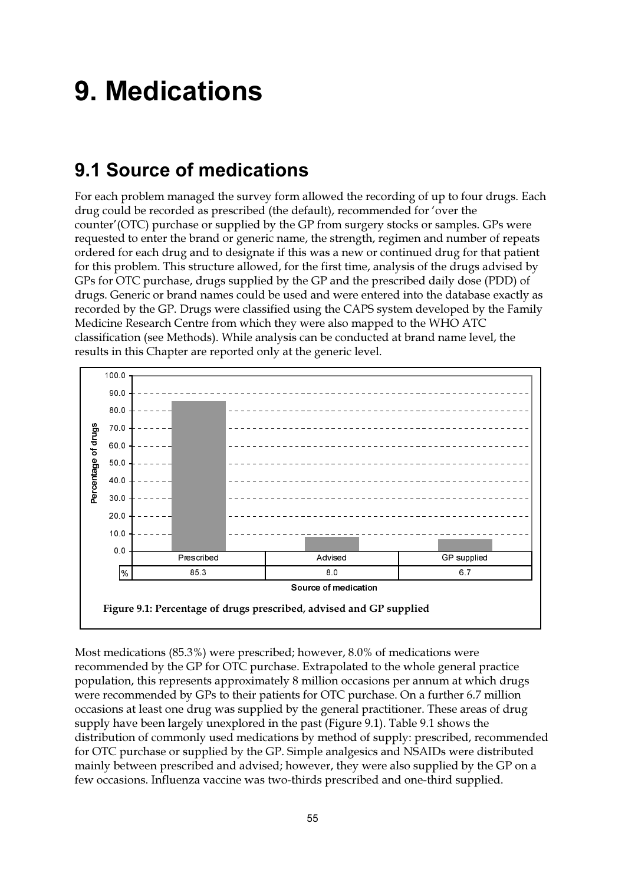# **9. Medications**

## 9.1 Source of medications

For each problem managed the survey form allowed the recording of up to four drugs. Each drug could be recorded as prescribed (the default), recommended for 'over the counter' (OTC) purchase or supplied by the GP from surgery stocks or samples. GPs were requested to enter the brand or generic name, the strength, regimen and number of repeats ordered for each drug and to designate if this was a new or continued drug for that patient for this problem. This structure allowed, for the first time, analysis of the drugs advised by GPs for OTC purchase, drugs supplied by the GP and the prescribed daily dose (PDD) of drugs. Generic or brand names could be used and were entered into the database exactly as recorded by the GP. Drugs were classified using the CAPS system developed by the Family Medicine Research Centre from which they were also mapped to the WHO ATC classification (see Methods). While analysis can be conducted at brand name level, the results in this Chapter are reported only at the generic level.



Most medications (85.3%) were prescribed; however, 8.0% of medications were recommended by the GP for OTC purchase. Extrapolated to the whole general practice population, this represents approximately 8 million occasions per annum at which drugs were recommended by GPs to their patients for OTC purchase. On a further 6.7 million occasions at least one drug was supplied by the general practitioner. These areas of drug supply have been largely unexplored in the past (Figure 9.1). Table 9.1 shows the distribution of commonly used medications by method of supply: prescribed, recommended for OTC purchase or supplied by the GP. Simple analgesics and NSAIDs were distributed mainly between prescribed and advised; however, they were also supplied by the GP on a few occasions. Influenza vaccine was two-thirds prescribed and one-third supplied.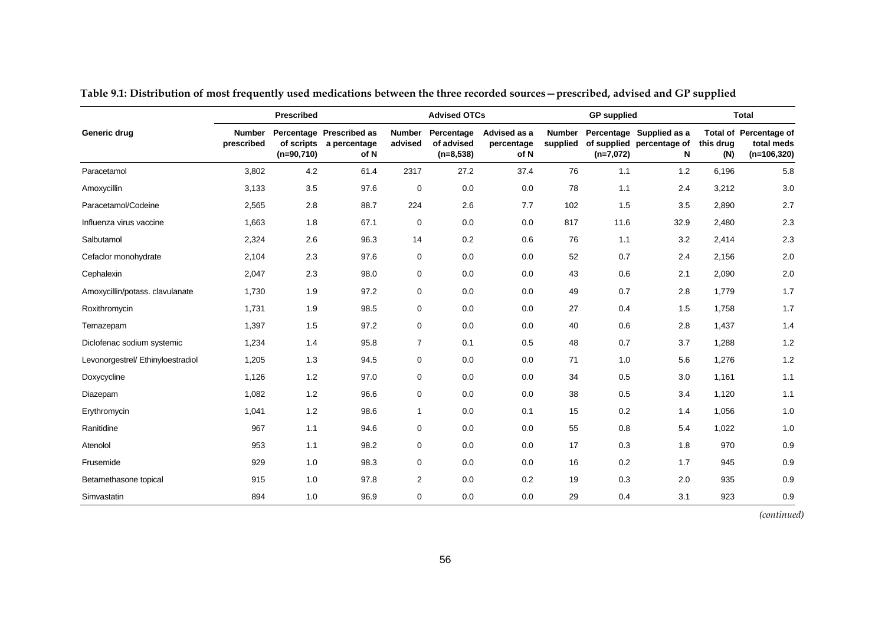|                                   |                             | Prescribed   |                                                             |                          | <b>Advised OTCs</b>                     |                                    |                           | <b>GP</b> supplied |                                                            |                  | <b>Total</b>                                                 |
|-----------------------------------|-----------------------------|--------------|-------------------------------------------------------------|--------------------------|-----------------------------------------|------------------------------------|---------------------------|--------------------|------------------------------------------------------------|------------------|--------------------------------------------------------------|
| Generic drug                      | <b>Number</b><br>prescribed | $(n=90,710)$ | Percentage Prescribed as<br>of scripts a percentage<br>of N | <b>Number</b><br>advised | Percentage<br>of advised<br>$(n=8,538)$ | Advised as a<br>percentage<br>of N | <b>Number</b><br>supplied | $(n=7,072)$        | Percentage Supplied as a<br>of supplied percentage of<br>N | this drug<br>(N) | <b>Total of Percentage of</b><br>total meds<br>$(n=106,320)$ |
| Paracetamol                       | 3,802                       | 4.2          | 61.4                                                        | 2317                     | 27.2                                    | 37.4                               | 76                        | 1.1                | 1.2                                                        | 6,196            | 5.8                                                          |
| Amoxycillin                       | 3,133                       | 3.5          | 97.6                                                        | $\mathbf 0$              | 0.0                                     | 0.0                                | 78                        | 1.1                | 2.4                                                        | 3,212            | 3.0                                                          |
| Paracetamol/Codeine               | 2,565                       | 2.8          | 88.7                                                        | 224                      | 2.6                                     | 7.7                                | 102                       | 1.5                | 3.5                                                        | 2,890            | 2.7                                                          |
| Influenza virus vaccine           | 1,663                       | 1.8          | 67.1                                                        | 0                        | 0.0                                     | 0.0                                | 817                       | 11.6               | 32.9                                                       | 2,480            | 2.3                                                          |
| Salbutamol                        | 2,324                       | 2.6          | 96.3                                                        | 14                       | 0.2                                     | 0.6                                | 76                        | 1.1                | 3.2                                                        | 2,414            | $2.3\,$                                                      |
| Cefaclor monohydrate              | 2,104                       | 2.3          | 97.6                                                        | 0                        | 0.0                                     | 0.0                                | 52                        | 0.7                | 2.4                                                        | 2,156            | 2.0                                                          |
| Cephalexin                        | 2,047                       | 2.3          | 98.0                                                        | $\mathbf 0$              | 0.0                                     | 0.0                                | 43                        | 0.6                | 2.1                                                        | 2,090            | $2.0\,$                                                      |
| Amoxycillin/potass. clavulanate   | 1,730                       | 1.9          | 97.2                                                        | $\mathbf 0$              | 0.0                                     | 0.0                                | 49                        | 0.7                | 2.8                                                        | 1,779            | 1.7                                                          |
| Roxithromycin                     | 1,731                       | 1.9          | 98.5                                                        | 0                        | 0.0                                     | 0.0                                | 27                        | 0.4                | 1.5                                                        | 1,758            | 1.7                                                          |
| Temazepam                         | 1,397                       | 1.5          | 97.2                                                        | $\mathbf 0$              | 0.0                                     | 0.0                                | 40                        | 0.6                | 2.8                                                        | 1,437            | 1.4                                                          |
| Diclofenac sodium systemic        | 1,234                       | 1.4          | 95.8                                                        | $\overline{7}$           | 0.1                                     | 0.5                                | 48                        | 0.7                | 3.7                                                        | 1,288            | 1.2                                                          |
| Levonorgestrel/ Ethinyloestradiol | 1,205                       | 1.3          | 94.5                                                        | 0                        | 0.0                                     | 0.0                                | 71                        | 1.0                | 5.6                                                        | 1,276            | 1.2                                                          |
| Doxycycline                       | 1,126                       | 1.2          | 97.0                                                        | 0                        | 0.0                                     | 0.0                                | 34                        | 0.5                | 3.0                                                        | 1,161            | 1.1                                                          |
| Diazepam                          | 1,082                       | 1.2          | 96.6                                                        | 0                        | 0.0                                     | 0.0                                | 38                        | 0.5                | 3.4                                                        | 1,120            | 1.1                                                          |
| Erythromycin                      | 1,041                       | 1.2          | 98.6                                                        | $\overline{1}$           | 0.0                                     | 0.1                                | 15                        | 0.2                | 1.4                                                        | 1,056            | 1.0                                                          |
| Ranitidine                        | 967                         | 1.1          | 94.6                                                        | $\mathbf 0$              | 0.0                                     | 0.0                                | 55                        | 0.8                | 5.4                                                        | 1,022            | 1.0                                                          |
| Atenolol                          | 953                         | $1.1$        | 98.2                                                        | 0                        | 0.0                                     | 0.0                                | 17                        | 0.3                | 1.8                                                        | 970              | 0.9                                                          |
| Frusemide                         | 929                         | 1.0          | 98.3                                                        | 0                        | 0.0                                     | 0.0                                | 16                        | 0.2                | 1.7                                                        | 945              | 0.9                                                          |
| Betamethasone topical             | 915                         | 1.0          | 97.8                                                        | $\overline{2}$           | 0.0                                     | 0.2                                | 19                        | 0.3                | 2.0                                                        | 935              | 0.9                                                          |
| Simvastatin                       | 894                         | 1.0          | 96.9                                                        | $\mathbf 0$              | 0.0                                     | 0.0                                | 29                        | 0.4                | 3.1                                                        | 923              | 0.9                                                          |

**Table 9.1: Distribution of most frequently used medications between the three recorded sources—prescribed, advised and GP supplied**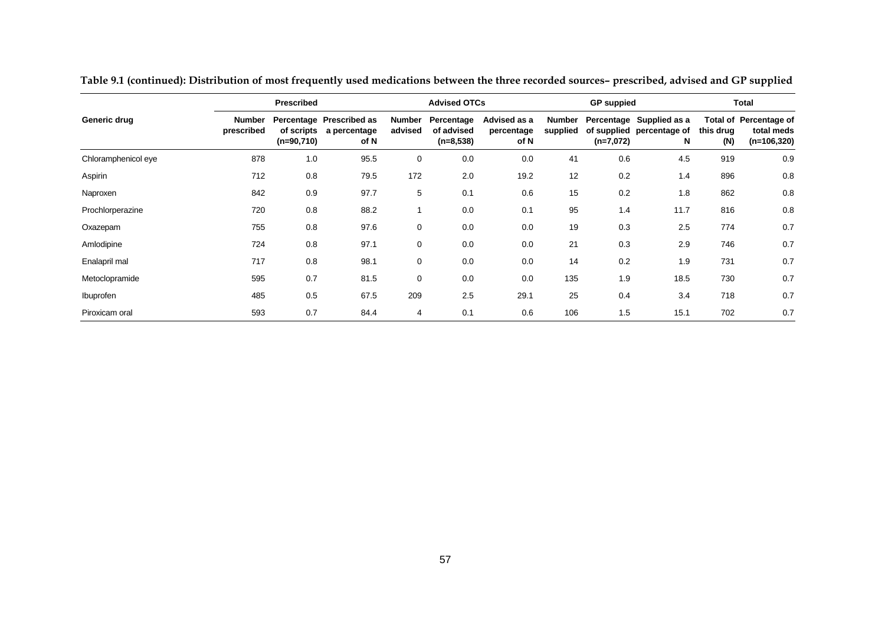|                     |                      | Prescribed                 |                                                  |                          | <b>Advised OTCs</b>                     |                                    |                           | <b>GP</b> suppied |                                                            |                  | Total                                                 |
|---------------------|----------------------|----------------------------|--------------------------------------------------|--------------------------|-----------------------------------------|------------------------------------|---------------------------|-------------------|------------------------------------------------------------|------------------|-------------------------------------------------------|
| Generic drug        | Number<br>prescribed | of scripts<br>$(n=90,710)$ | Percentage Prescribed as<br>a percentage<br>of N | <b>Number</b><br>advised | Percentage<br>of advised<br>$(n=8,538)$ | Advised as a<br>percentage<br>of N | <b>Number</b><br>supplied | $(n=7,072)$       | Percentage Supplied as a<br>of supplied percentage of<br>N | this drug<br>(N) | Total of Percentage of<br>total meds<br>$(n=106,320)$ |
| Chloramphenicol eye | 878                  | 1.0                        | 95.5                                             | $\mathbf 0$              | 0.0                                     | 0.0                                | 41                        | 0.6               | 4.5                                                        | 919              | 0.9                                                   |
| Aspirin             | 712                  | 0.8                        | 79.5                                             | 172                      | 2.0                                     | 19.2                               | 12                        | 0.2               | 1.4                                                        | 896              | 0.8                                                   |
| Naproxen            | 842                  | 0.9                        | 97.7                                             | 5                        | 0.1                                     | 0.6                                | 15                        | 0.2               | 1.8                                                        | 862              | 0.8                                                   |
| Prochlorperazine    | 720                  | 0.8                        | 88.2                                             |                          | 0.0                                     | 0.1                                | 95                        | 1.4               | 11.7                                                       | 816              | 0.8                                                   |
| Oxazepam            | 755                  | 0.8                        | 97.6                                             | 0                        | 0.0                                     | 0.0                                | 19                        | 0.3               | 2.5                                                        | 774              | 0.7                                                   |
| Amlodipine          | 724                  | 0.8                        | 97.1                                             | 0                        | 0.0                                     | 0.0                                | 21                        | 0.3               | 2.9                                                        | 746              | 0.7                                                   |
| Enalapril mal       | 717                  | 0.8                        | 98.1                                             | $\mathbf 0$              | 0.0                                     | 0.0                                | 14                        | 0.2               | 1.9                                                        | 731              | 0.7                                                   |
| Metoclopramide      | 595                  | 0.7                        | 81.5                                             | 0                        | 0.0                                     | 0.0                                | 135                       | 1.9               | 18.5                                                       | 730              | 0.7                                                   |
| Ibuprofen           | 485                  | 0.5                        | 67.5                                             | 209                      | 2.5                                     | 29.1                               | 25                        | 0.4               | 3.4                                                        | 718              | 0.7                                                   |
| Piroxicam oral      | 593                  | 0.7                        | 84.4                                             | 4                        | 0.1                                     | 0.6                                | 106                       | 1.5               | 15.1                                                       | 702              | 0.7                                                   |

**Table 9.1 (continued): Distribution of most frequently used medications between the three recorded sources– prescribed, advised and GP supplied**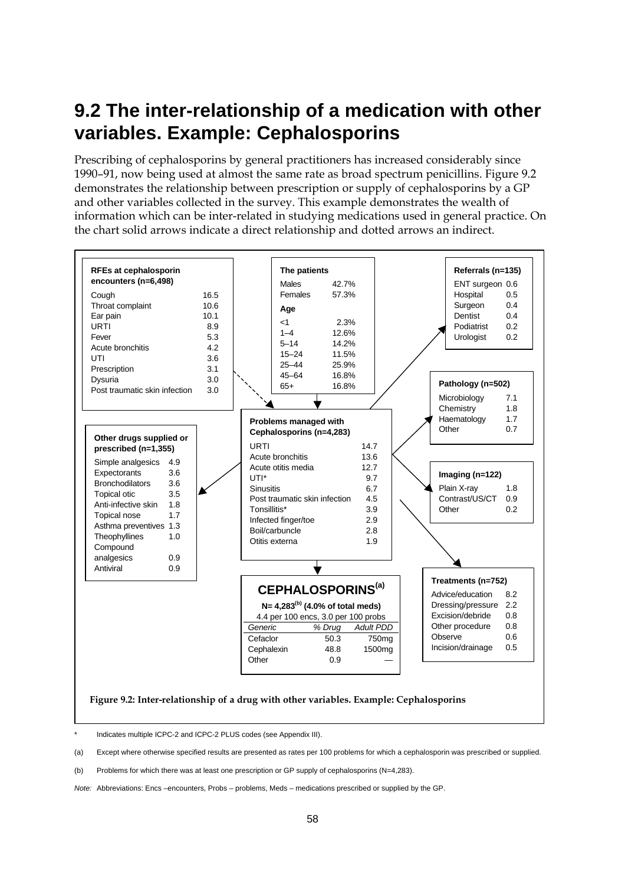## **9.2 The inter-relationship of a medication with other variables. Example: Cephalosporins**

Prescribing of cephalosporins by general practitioners has increased considerably since 1990–91, now being used at almost the same rate as broad spectrum penicillins. Figure 9.2 demonstrates the relationship between prescription or supply of cephalosporins by a GP and other variables collected in the survey. This example demonstrates the wealth of information which can be inter-related in studying medications used in general practice. On the chart solid arrows indicate a direct relationship and dotted arrows an indirect.



Indicates multiple ICPC-2 and ICPC-2 PLUS codes (see Appendix III).

(a) Except where otherwise specified results are presented as rates per 100 problems for which a cephalosporin was prescribed or supplied.

(b) Problems for which there was at least one prescription or GP supply of cephalosporins (N=4,283).

*Note:* Abbreviations: Encs –encounters, Probs – problems, Meds – medications prescribed or supplied by the GP.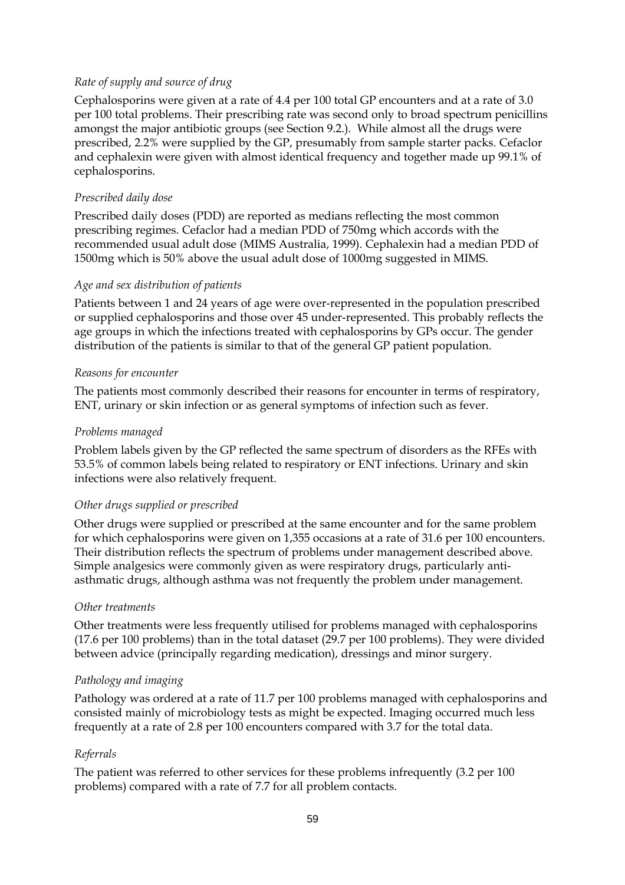#### *Rate of supply and source of drug*

Cephalosporins were given at a rate of 4.4 per 100 total GP encounters and at a rate of 3.0 per 100 total problems. Their prescribing rate was second only to broad spectrum penicillins amongst the major antibiotic groups (see Section 9.2.). While almost all the drugs were prescribed, 2.2% were supplied by the GP, presumably from sample starter packs. Cefaclor and cephalexin were given with almost identical frequency and together made up 99.1% of cephalosporins.

#### *Prescribed daily dose*

Prescribed daily doses (PDD) are reported as medians reflecting the most common prescribing regimes. Cefaclor had a median PDD of 750mg which accords with the recommended usual adult dose (MIMS Australia, 1999). Cephalexin had a median PDD of 1500mg which is 50% above the usual adult dose of 1000mg suggested in MIMS.

#### *Age and sex distribution of patients*

Patients between 1 and 24 years of age were over-represented in the population prescribed or supplied cephalosporins and those over 45 under-represented. This probably reflects the age groups in which the infections treated with cephalosporins by GPs occur. The gender distribution of the patients is similar to that of the general GP patient population.

#### *Reasons for encounter*

The patients most commonly described their reasons for encounter in terms of respiratory, ENT, urinary or skin infection or as general symptoms of infection such as fever.

#### *Problems managed*

Problem labels given by the GP reflected the same spectrum of disorders as the RFEs with 53.5% of common labels being related to respiratory or ENT infections. Urinary and skin infections were also relatively frequent.

#### *Other drugs supplied or prescribed*

Other drugs were supplied or prescribed at the same encounter and for the same problem for which cephalosporins were given on 1,355 occasions at a rate of 31.6 per 100 encounters. Their distribution reflects the spectrum of problems under management described above. Simple analgesics were commonly given as were respiratory drugs, particularly antiasthmatic drugs, although asthma was not frequently the problem under management.

#### *Other treatments*

Other treatments were less frequently utilised for problems managed with cephalosporins (17.6 per 100 problems) than in the total dataset (29.7 per 100 problems). They were divided between advice (principally regarding medication), dressings and minor surgery.

#### *Pathology and imaging*

Pathology was ordered at a rate of 11.7 per 100 problems managed with cephalosporins and consisted mainly of microbiology tests as might be expected. Imaging occurred much less frequently at a rate of 2.8 per 100 encounters compared with 3.7 for the total data.

#### *Referrals*

The patient was referred to other services for these problems infrequently (3.2 per 100 problems) compared with a rate of 7.7 for all problem contacts.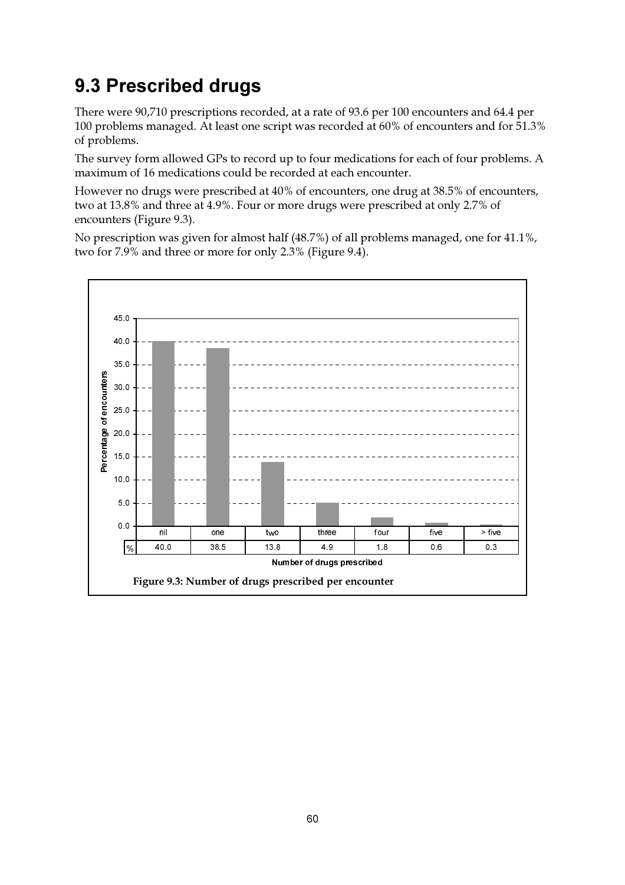## 9.3 Prescribed drugs

There were 90,710 prescriptions recorded, at a rate of 93.6 per 100 encounters and 64.4 per 100 problems managed. At least one script was recorded at 60% of encounters and for 51.3% of problems.

The survey form allowed GPs to record up to four medications for each of four problems. A maximum of 16 medications could be recorded at each encounter.

However no drugs were prescribed at 40% of encounters, one drug at 38.5% of encounters, two at 13.8% and three at 4.9%. Four or more drugs were prescribed at only 2.7% of encounters (Figure 9.3).

No prescription was given for almost half (48.7%) of all problems managed, one for 41.1%, two for 7.9% and three or more for only 2.3% (Figure 9.4).

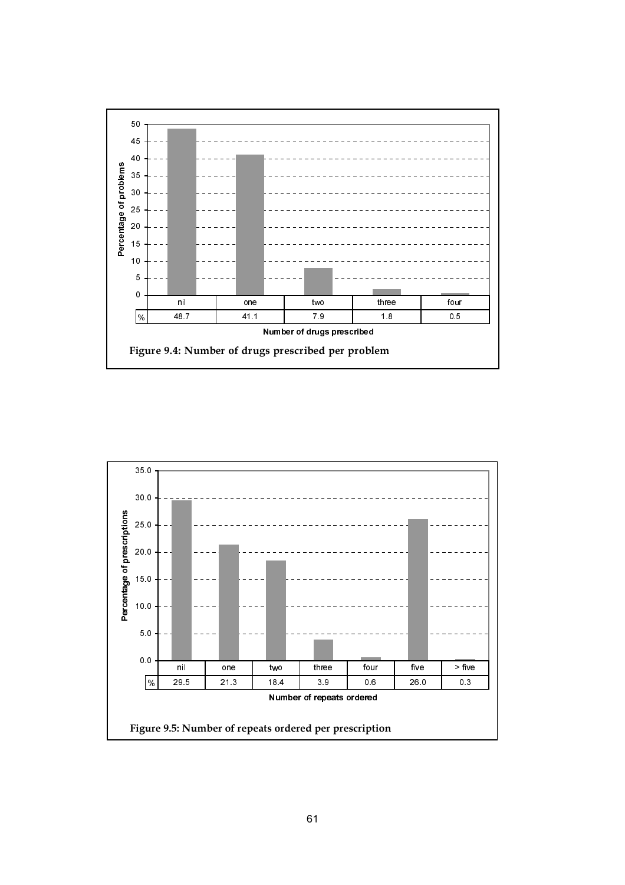

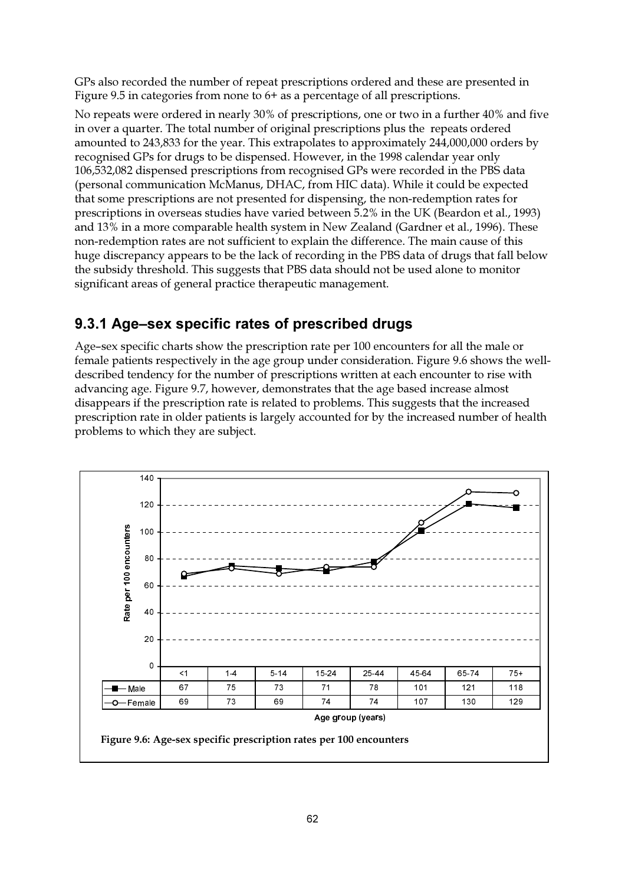GPs also recorded the number of repeat prescriptions ordered and these are presented in Figure 9.5 in categories from none to  $6+$  as a percentage of all prescriptions.

No repeats were ordered in nearly 30% of prescriptions, one or two in a further 40% and five in over a quarter. The total number of original prescriptions plus the repeats ordered amounted to 243,833 for the year. This extrapolates to approximately 244,000,000 orders by recognised GPs for drugs to be dispensed. However, in the 1998 calendar year only 106,532,082 dispensed prescriptions from recognised GPs were recorded in the PBS data (personal communication McManus, DHAC, from HIC data). While it could be expected that some prescriptions are not presented for dispensing, the non-redemption rates for prescriptions in overseas studies have varied between 5.2% in the UK (Beardon et al., 1993) and 13% in a more comparable health system in New Zealand (Gardner et al., 1996). These non-redemption rates are not sufficient to explain the difference. The main cause of this huge discrepancy appears to be the lack of recording in the PBS data of drugs that fall below the subsidy threshold. This suggests that PBS data should not be used alone to monitor significant areas of general practice therapeutic management.

### 9.3.1 Age-sex specific rates of prescribed drugs

Age-sex specific charts show the prescription rate per 100 encounters for all the male or female patients respectively in the age group under consideration. Figure 9.6 shows the welldescribed tendency for the number of prescriptions written at each encounter to rise with advancing age. Figure 9.7, however, demonstrates that the age based increase almost disappears if the prescription rate is related to problems. This suggests that the increased prescription rate in older patients is largely accounted for by the increased number of health problems to which they are subject.

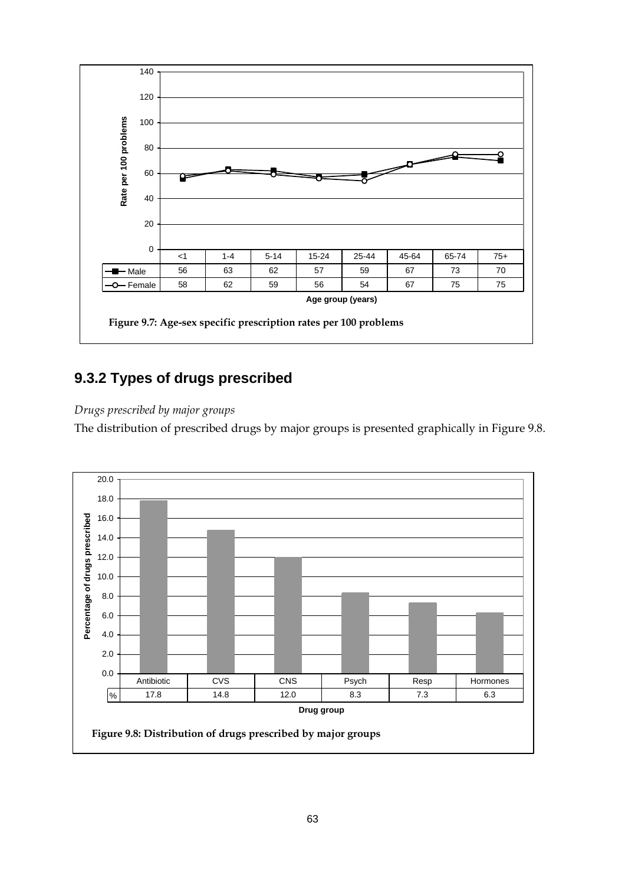

### **9.3.2 Types of drugs prescribed**

#### *Drugs prescribed by major groups*

The distribution of prescribed drugs by major groups is presented graphically in Figure 9.8.

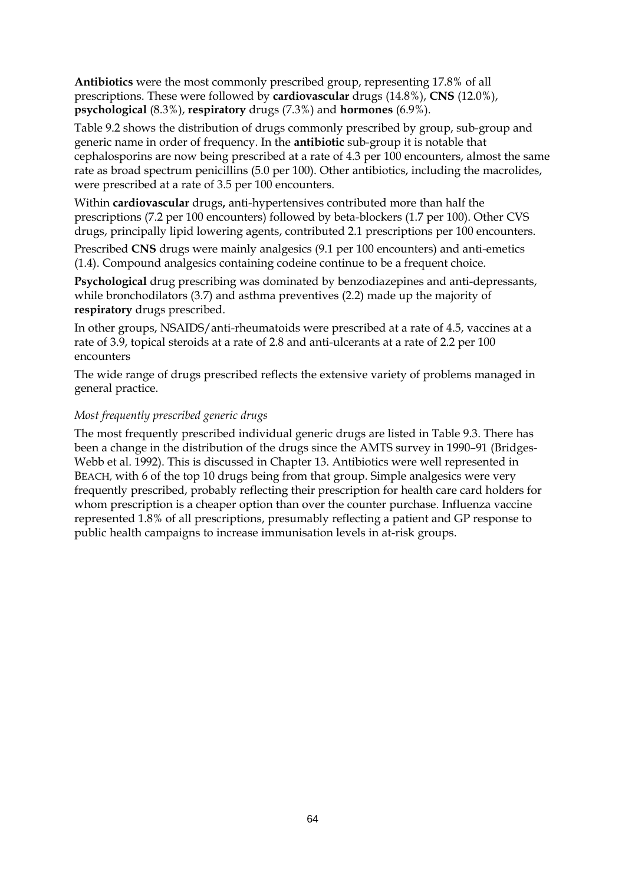**Antibiotics** were the most commonly prescribed group, representing 17.8% of all prescriptions. These were followed by **cardiovascular** drugs (14.8%), **CNS** (12.0%), **psychological** (8.3%), **respiratory** drugs (7.3%) and **hormones** (6.9%).

Table 9.2 shows the distribution of drugs commonly prescribed by group, sub-group and generic name in order of frequency. In the **antibiotic** sub-group it is notable that cephalosporins are now being prescribed at a rate of 4.3 per 100 encounters, almost the same rate as broad spectrum penicillins (5.0 per 100). Other antibiotics, including the macrolides, were prescribed at a rate of 3.5 per 100 encounters.

Within **cardiovascular** drugs**,** anti-hypertensives contributed more than half the prescriptions (7.2 per 100 encounters) followed by beta-blockers (1.7 per 100). Other CVS drugs, principally lipid lowering agents, contributed 2.1 prescriptions per 100 encounters.

Prescribed **CNS** drugs were mainly analgesics (9.1 per 100 encounters) and anti-emetics (1.4). Compound analgesics containing codeine continue to be a frequent choice.

**Psychological** drug prescribing was dominated by benzodiazepines and anti-depressants, while bronchodilators (3.7) and asthma preventives (2.2) made up the majority of **respiratory** drugs prescribed.

In other groups, NSAIDS/anti-rheumatoids were prescribed at a rate of 4.5, vaccines at a rate of 3.9, topical steroids at a rate of 2.8 and anti-ulcerants at a rate of 2.2 per 100 encounters

The wide range of drugs prescribed reflects the extensive variety of problems managed in general practice.

#### *Most frequently prescribed generic drugs*

The most frequently prescribed individual generic drugs are listed in Table 9.3. There has been a change in the distribution of the drugs since the AMTS survey in 1990–91 (Bridges-Webb et al. 1992). This is discussed in Chapter 13. Antibiotics were well represented in BEACH, with 6 of the top 10 drugs being from that group. Simple analgesics were very frequently prescribed, probably reflecting their prescription for health care card holders for whom prescription is a cheaper option than over the counter purchase. Influenza vaccine represented 1.8% of all prescriptions, presumably reflecting a patient and GP response to public health campaigns to increase immunisation levels in at-risk groups.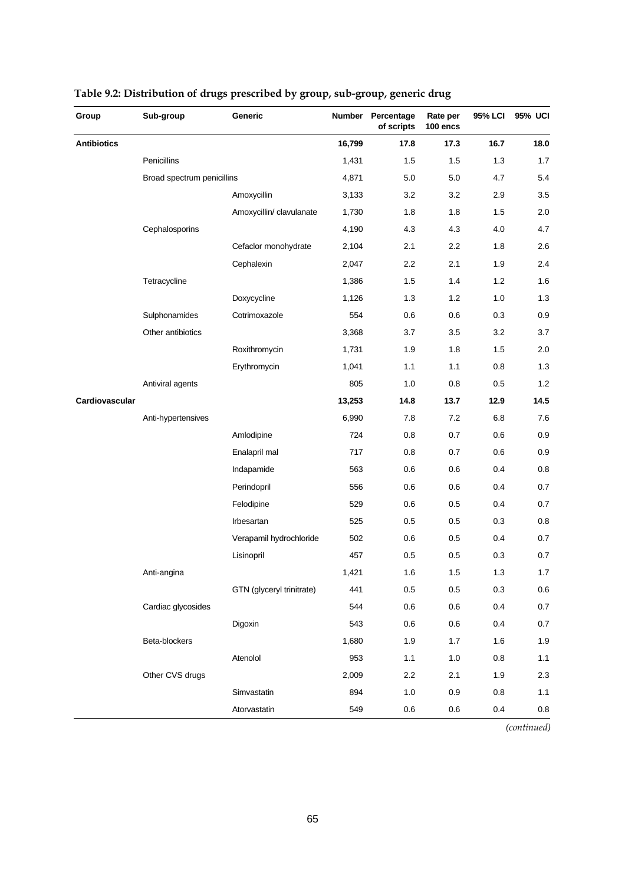| Group              | Sub-group                  | Generic                   | Number | Percentage<br>of scripts | Rate per<br>100 encs | 95% LCI | 95% UCI |
|--------------------|----------------------------|---------------------------|--------|--------------------------|----------------------|---------|---------|
| <b>Antibiotics</b> |                            |                           | 16,799 | 17.8                     | 17.3                 | 16.7    | 18.0    |
|                    | Penicillins                |                           | 1,431  | 1.5                      | 1.5                  | 1.3     | 1.7     |
|                    | Broad spectrum penicillins |                           | 4,871  | 5.0                      | 5.0                  | 4.7     | 5.4     |
|                    |                            | Amoxycillin               | 3,133  | 3.2                      | 3.2                  | 2.9     | 3.5     |
|                    |                            | Amoxycillin/ clavulanate  | 1,730  | 1.8                      | 1.8                  | 1.5     | 2.0     |
|                    | Cephalosporins             |                           | 4,190  | 4.3                      | 4.3                  | 4.0     | 4.7     |
|                    |                            | Cefaclor monohydrate      | 2,104  | 2.1                      | 2.2                  | 1.8     | 2.6     |
|                    |                            | Cephalexin                | 2,047  | 2.2                      | 2.1                  | 1.9     | 2.4     |
|                    | Tetracycline               |                           | 1,386  | 1.5                      | 1.4                  | 1.2     | 1.6     |
|                    |                            | Doxycycline               | 1,126  | 1.3                      | 1.2                  | 1.0     | 1.3     |
|                    | Sulphonamides              | Cotrimoxazole             | 554    | 0.6                      | 0.6                  | 0.3     | 0.9     |
|                    | Other antibiotics          |                           | 3,368  | 3.7                      | 3.5                  | 3.2     | 3.7     |
|                    |                            | Roxithromycin             | 1,731  | 1.9                      | 1.8                  | 1.5     | 2.0     |
|                    |                            | Erythromycin              | 1,041  | 1.1                      | 1.1                  | 0.8     | $1.3$   |
|                    | Antiviral agents           |                           | 805    | 1.0                      | 0.8                  | 0.5     | 1.2     |
| Cardiovascular     |                            |                           | 13,253 | 14.8                     | 13.7                 | 12.9    | 14.5    |
|                    | Anti-hypertensives         |                           | 6,990  | 7.8                      | 7.2                  | 6.8     | 7.6     |
|                    |                            | Amlodipine                | 724    | 0.8                      | 0.7                  | 0.6     | 0.9     |
|                    |                            | Enalapril mal             | 717    | 0.8                      | 0.7                  | 0.6     | 0.9     |
|                    |                            | Indapamide                | 563    | 0.6                      | 0.6                  | 0.4     | 0.8     |
|                    |                            | Perindopril               | 556    | 0.6                      | 0.6                  | 0.4     | 0.7     |
|                    |                            | Felodipine                | 529    | 0.6                      | 0.5                  | 0.4     | 0.7     |
|                    |                            | Irbesartan                | 525    | 0.5                      | 0.5                  | 0.3     | 0.8     |
|                    |                            | Verapamil hydrochloride   | 502    | 0.6                      | 0.5                  | 0.4     | 0.7     |
|                    |                            | Lisinopril                | 457    | 0.5                      | 0.5                  | 0.3     | 0.7     |
|                    | Anti-angina                |                           | 1,421  | 1.6                      | 1.5                  | 1.3     | 1.7     |
|                    |                            | GTN (glyceryl trinitrate) | 441    | 0.5                      | 0.5                  | 0.3     | $0.6\,$ |
|                    | Cardiac glycosides         |                           | 544    | $0.6\,$                  | 0.6                  | 0.4     | $0.7\,$ |
|                    |                            | Digoxin                   | 543    | 0.6                      | 0.6                  | 0.4     | 0.7     |
|                    | Beta-blockers              |                           | 1,680  | 1.9                      | 1.7                  | 1.6     | 1.9     |
|                    |                            | Atenolol                  | 953    | 1.1                      | 1.0                  | 0.8     | 1.1     |
|                    | Other CVS drugs            |                           | 2,009  | 2.2                      | 2.1                  | 1.9     | 2.3     |
|                    |                            | Simvastatin               | 894    | 1.0                      | 0.9                  | 0.8     | 1.1     |
|                    |                            | Atorvastatin              | 549    | 0.6                      | 0.6                  | 0.4     | 0.8     |

### **Table 9.2: Distribution of drugs prescribed by group, sub-group, generic drug**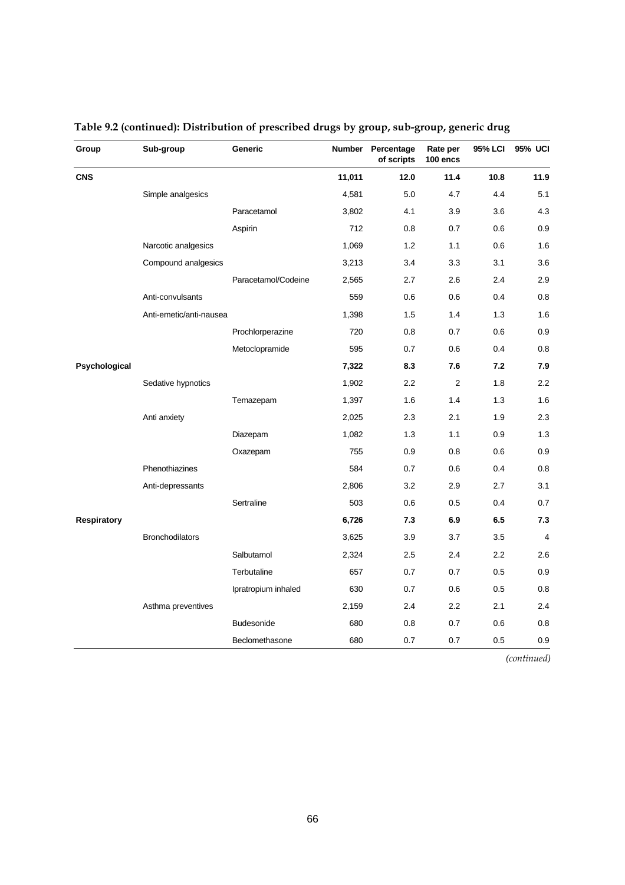| Group              | Sub-group               | Generic             | Number | Percentage<br>of scripts | Rate per<br>100 encs | 95% LCI | 95% UCI        |
|--------------------|-------------------------|---------------------|--------|--------------------------|----------------------|---------|----------------|
| <b>CNS</b>         |                         |                     | 11,011 | 12.0                     | 11.4                 | 10.8    | 11.9           |
|                    | Simple analgesics       |                     | 4,581  | 5.0                      | 4.7                  | 4.4     | 5.1            |
|                    |                         | Paracetamol         | 3,802  | 4.1                      | 3.9                  | 3.6     | 4.3            |
|                    |                         | Aspirin             | 712    | 0.8                      | 0.7                  | 0.6     | 0.9            |
|                    | Narcotic analgesics     |                     | 1,069  | 1.2                      | 1.1                  | 0.6     | 1.6            |
|                    | Compound analgesics     |                     | 3,213  | 3.4                      | 3.3                  | 3.1     | 3.6            |
|                    |                         | Paracetamol/Codeine | 2,565  | 2.7                      | 2.6                  | 2.4     | 2.9            |
|                    | Anti-convulsants        |                     | 559    | 0.6                      | 0.6                  | 0.4     | 0.8            |
|                    | Anti-emetic/anti-nausea |                     | 1,398  | 1.5                      | 1.4                  | 1.3     | 1.6            |
|                    |                         | Prochlorperazine    | 720    | 0.8                      | 0.7                  | 0.6     | 0.9            |
|                    |                         | Metoclopramide      | 595    | 0.7                      | 0.6                  | 0.4     | 0.8            |
| Psychological      |                         |                     | 7,322  | 8.3                      | 7.6                  | 7.2     | 7.9            |
|                    | Sedative hypnotics      |                     | 1,902  | 2.2                      | 2                    | 1.8     | 2.2            |
|                    |                         | Temazepam           | 1,397  | 1.6                      | 1.4                  | 1.3     | 1.6            |
|                    | Anti anxiety            |                     | 2,025  | 2.3                      | 2.1                  | 1.9     | 2.3            |
|                    |                         | Diazepam            | 1,082  | 1.3                      | 1.1                  | 0.9     | 1.3            |
|                    |                         | Oxazepam            | 755    | 0.9                      | 0.8                  | 0.6     | 0.9            |
|                    | Phenothiazines          |                     | 584    | 0.7                      | 0.6                  | 0.4     | 0.8            |
|                    | Anti-depressants        |                     | 2,806  | 3.2                      | 2.9                  | 2.7     | 3.1            |
|                    |                         | Sertraline          | 503    | 0.6                      | 0.5                  | 0.4     | 0.7            |
| <b>Respiratory</b> |                         |                     | 6,726  | 7.3                      | 6.9                  | 6.5     | 7.3            |
|                    | <b>Bronchodilators</b>  |                     | 3,625  | 3.9                      | 3.7                  | 3.5     | $\overline{4}$ |
|                    |                         | Salbutamol          | 2,324  | 2.5                      | 2.4                  | 2.2     | 2.6            |
|                    |                         | Terbutaline         | 657    | 0.7                      | 0.7                  | 0.5     | 0.9            |
|                    |                         | Ipratropium inhaled | 630    | 0.7                      | 0.6                  | 0.5     | 0.8            |
|                    | Asthma preventives      |                     | 2,159  | 2.4                      | 2.2                  | 2.1     | 2.4            |
|                    |                         | <b>Budesonide</b>   | 680    | 0.8                      | 0.7                  | 0.6     | 0.8            |
|                    |                         | Beclomethasone      | 680    | 0.7                      | 0.7                  | 0.5     | 0.9            |

### **Table 9.2 (continued): Distribution of prescribed drugs by group, sub-group, generic drug**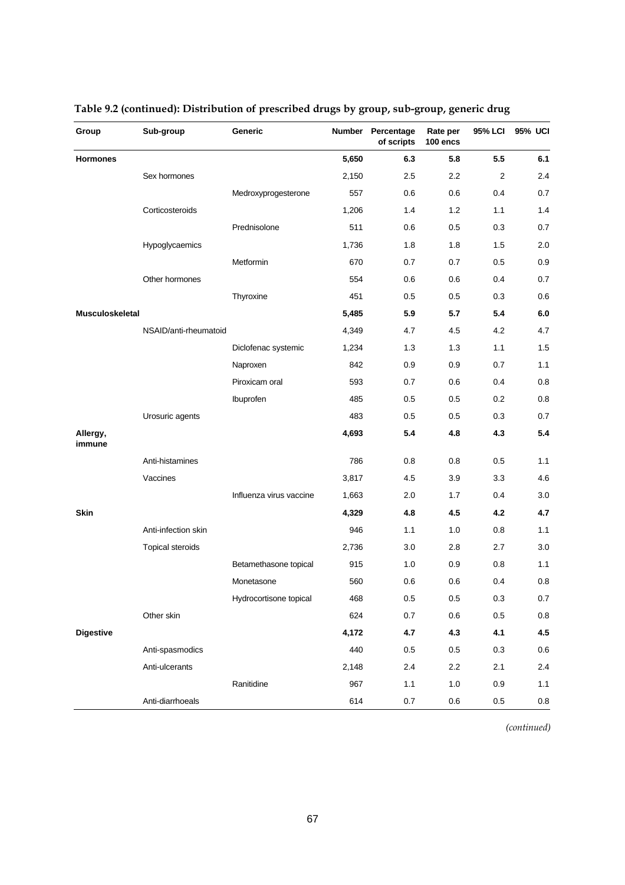| Group              | Sub-group               | <b>Generic</b>          | Number | Percentage<br>of scripts | Rate per<br>100 encs | <b>95% LCI</b> | 95% UCI |
|--------------------|-------------------------|-------------------------|--------|--------------------------|----------------------|----------------|---------|
| <b>Hormones</b>    |                         |                         | 5,650  | 6.3                      | 5.8                  | 5.5            | 6.1     |
|                    | Sex hormones            |                         | 2,150  | 2.5                      | 2.2                  | $\overline{2}$ | 2.4     |
|                    |                         | Medroxyprogesterone     | 557    | 0.6                      | 0.6                  | 0.4            | 0.7     |
|                    | Corticosteroids         |                         | 1,206  | 1.4                      | 1.2                  | 1.1            | 1.4     |
|                    |                         | Prednisolone            | 511    | 0.6                      | 0.5                  | 0.3            | 0.7     |
|                    | Hypoglycaemics          |                         | 1,736  | 1.8                      | 1.8                  | 1.5            | 2.0     |
|                    |                         | Metformin               | 670    | 0.7                      | 0.7                  | 0.5            | 0.9     |
|                    | Other hormones          |                         | 554    | 0.6                      | 0.6                  | 0.4            | 0.7     |
|                    |                         | Thyroxine               | 451    | 0.5                      | 0.5                  | 0.3            | 0.6     |
| Musculoskeletal    |                         |                         | 5,485  | 5.9                      | 5.7                  | 5.4            | 6.0     |
|                    | NSAID/anti-rheumatoid   |                         | 4,349  | 4.7                      | 4.5                  | 4.2            | 4.7     |
|                    |                         | Diclofenac systemic     | 1,234  | 1.3                      | 1.3                  | 1.1            | 1.5     |
|                    |                         | Naproxen                | 842    | 0.9                      | 0.9                  | 0.7            | 1.1     |
|                    |                         | Piroxicam oral          | 593    | 0.7                      | 0.6                  | 0.4            | 0.8     |
|                    |                         | Ibuprofen               | 485    | 0.5                      | 0.5                  | 0.2            | 0.8     |
|                    | Urosuric agents         |                         | 483    | 0.5                      | 0.5                  | 0.3            | 0.7     |
| Allergy,<br>immune |                         |                         | 4,693  | 5.4                      | 4.8                  | 4.3            | 5.4     |
|                    | Anti-histamines         |                         | 786    | 0.8                      | 0.8                  | 0.5            | 1.1     |
|                    | Vaccines                |                         | 3,817  | 4.5                      | 3.9                  | 3.3            | 4.6     |
|                    |                         | Influenza virus vaccine | 1,663  | 2.0                      | 1.7                  | 0.4            | 3.0     |
| <b>Skin</b>        |                         |                         | 4,329  | 4.8                      | 4.5                  | 4.2            | 4.7     |
|                    | Anti-infection skin     |                         | 946    | 1.1                      | 1.0                  | 0.8            | 1.1     |
|                    | <b>Topical steroids</b> |                         | 2,736  | 3.0                      | 2.8                  | 2.7            | 3.0     |
|                    |                         | Betamethasone topical   | 915    | 1.0                      | 0.9                  | 0.8            | 1.1     |
|                    |                         | Monetasone              | 560    | 0.6                      | 0.6                  | 0.4            | 0.8     |
|                    |                         | Hydrocortisone topical  | 468    | 0.5                      | 0.5                  | $0.3\,$        | $0.7\,$ |
|                    | Other skin              |                         | 624    | $0.7\,$                  | 0.6                  | $0.5\,$        | $0.8\,$ |
| <b>Digestive</b>   |                         |                         | 4,172  | 4.7                      | 4.3                  | 4.1            | 4.5     |
|                    | Anti-spasmodics         |                         | 440    | 0.5                      | 0.5                  | 0.3            | $0.6\,$ |
|                    | Anti-ulcerants          |                         | 2,148  | 2.4                      | $2.2\,$              | 2.1            | 2.4     |
|                    |                         | Ranitidine              | 967    | 1.1                      | $1.0$                | 0.9            | 1.1     |
|                    | Anti-diarrhoeals        |                         | 614    | 0.7                      | $0.6\,$              | $0.5\,$        | 0.8     |

### **Table 9.2 (continued): Distribution of prescribed drugs by group, sub-group, generic drug**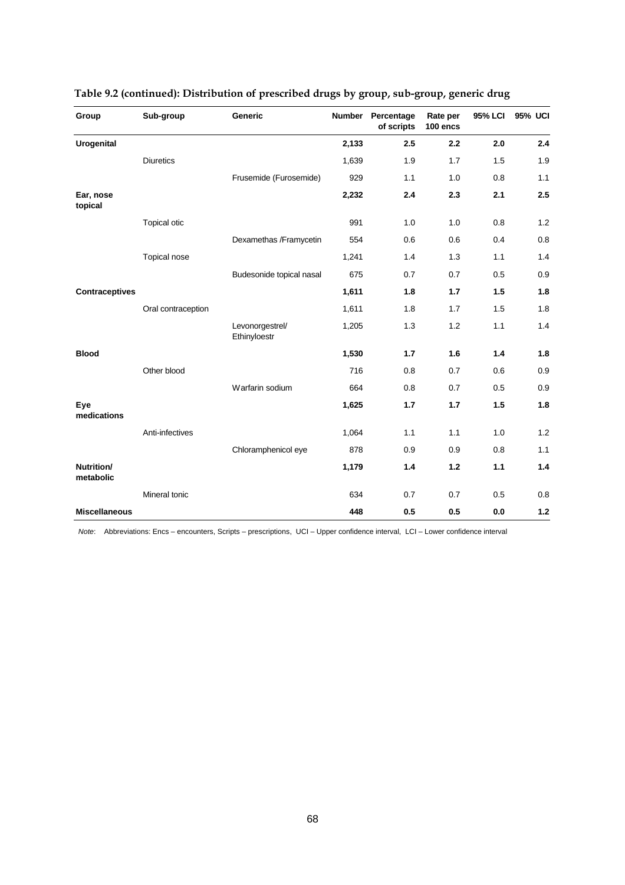| Group                   | Sub-group           | <b>Generic</b>                  | <b>Number</b> | Percentage<br>of scripts | Rate per<br>100 encs | <b>95% LCI</b> | <b>95% UCI</b> |
|-------------------------|---------------------|---------------------------------|---------------|--------------------------|----------------------|----------------|----------------|
| <b>Urogenital</b>       |                     |                                 | 2,133         | 2.5                      | 2.2                  | 2.0            | 2.4            |
|                         | <b>Diuretics</b>    |                                 | 1,639         | 1.9                      | 1.7                  | 1.5            | 1.9            |
|                         |                     | Frusemide (Furosemide)          | 929           | 1.1                      | 1.0                  | 0.8            | 1.1            |
| Ear, nose<br>topical    |                     |                                 | 2,232         | 2.4                      | 2.3                  | 2.1            | 2.5            |
|                         | <b>Topical otic</b> |                                 | 991           | 1.0                      | 1.0                  | 0.8            | 1.2            |
|                         |                     | Dexamethas /Framycetin          | 554           | 0.6                      | 0.6                  | 0.4            | 0.8            |
|                         | Topical nose        |                                 | 1,241         | 1.4                      | 1.3                  | 1.1            | 1.4            |
|                         |                     | Budesonide topical nasal        | 675           | 0.7                      | 0.7                  | 0.5            | 0.9            |
| <b>Contraceptives</b>   |                     |                                 | 1,611         | 1.8                      | 1.7                  | 1.5            | 1.8            |
|                         | Oral contraception  |                                 | 1,611         | 1.8                      | 1.7                  | 1.5            | 1.8            |
|                         |                     | Levonorgestrel/<br>Ethinyloestr | 1,205         | 1.3                      | 1.2                  | 1.1            | 1.4            |
| <b>Blood</b>            |                     |                                 | 1,530         | 1.7                      | 1.6                  | 1.4            | 1.8            |
|                         | Other blood         |                                 | 716           | 0.8                      | 0.7                  | 0.6            | 0.9            |
|                         |                     | Warfarin sodium                 | 664           | 0.8                      | 0.7                  | 0.5            | 0.9            |
| Eye<br>medications      |                     |                                 | 1,625         | 1.7                      | 1.7                  | 1.5            | 1.8            |
|                         | Anti-infectives     |                                 | 1,064         | 1.1                      | 1.1                  | 1.0            | 1.2            |
|                         |                     | Chloramphenicol eye             | 878           | 0.9                      | 0.9                  | 0.8            | 1.1            |
| Nutrition/<br>metabolic |                     |                                 | 1,179         | 1.4                      | 1.2                  | 1.1            | 1.4            |
|                         | Mineral tonic       |                                 | 634           | 0.7                      | 0.7                  | 0.5            | 0.8            |
| <b>Miscellaneous</b>    |                     |                                 | 448           | 0.5                      | 0.5                  | 0.0            | $1.2$          |

|  | Table 9.2 (continued): Distribution of prescribed drugs by group, sub-group, generic drug |  |  |
|--|-------------------------------------------------------------------------------------------|--|--|
|  |                                                                                           |  |  |

 *Note*: Abbreviations: Encs – encounters, Scripts – prescriptions, UCI – Upper confidence interval, LCI – Lower confidence interval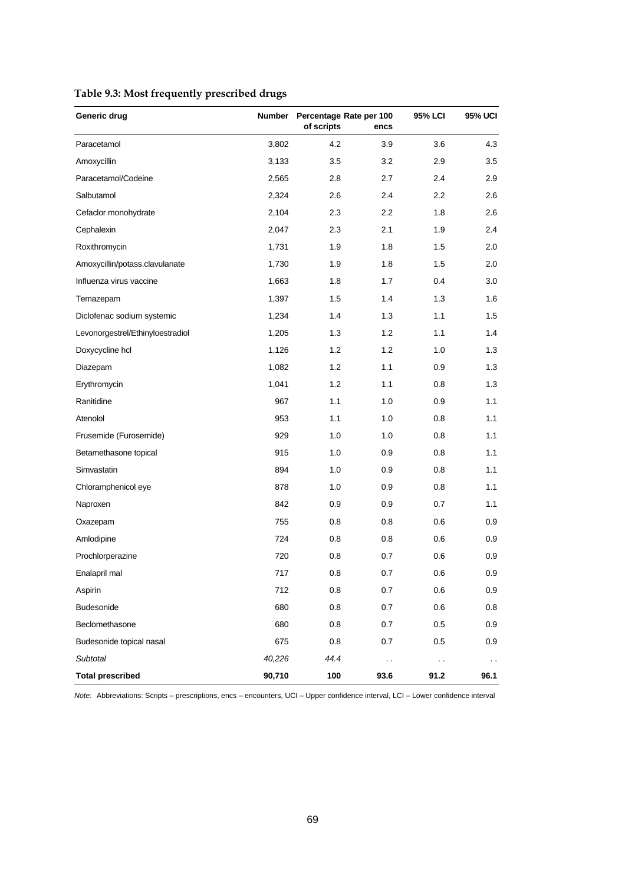|  |  | Table 9.3: Most frequently prescribed drugs |  |
|--|--|---------------------------------------------|--|
|  |  |                                             |  |

| Generic drug                     | <b>Number</b> | Percentage Rate per 100<br>of scripts | encs                 | 95% LCI              | <b>95% UCI</b> |
|----------------------------------|---------------|---------------------------------------|----------------------|----------------------|----------------|
| Paracetamol                      | 3,802         | 4.2                                   | 3.9                  | 3.6                  | 4.3            |
| Amoxycillin                      | 3,133         | 3.5                                   | 3.2                  | 2.9                  | 3.5            |
| Paracetamol/Codeine              | 2,565         | 2.8                                   | 2.7                  | 2.4                  | 2.9            |
| Salbutamol                       | 2,324         | 2.6                                   | 2.4                  | $2.2\,$              | 2.6            |
| Cefaclor monohydrate             | 2,104         | 2.3                                   | 2.2                  | 1.8                  | 2.6            |
| Cephalexin                       | 2,047         | 2.3                                   | 2.1                  | 1.9                  | 2.4            |
| Roxithromycin                    | 1,731         | 1.9                                   | 1.8                  | 1.5                  | 2.0            |
| Amoxycillin/potass.clavulanate   | 1,730         | 1.9                                   | 1.8                  | 1.5                  | 2.0            |
| Influenza virus vaccine          | 1,663         | 1.8                                   | 1.7                  | 0.4                  | 3.0            |
| Temazepam                        | 1,397         | 1.5                                   | 1.4                  | 1.3                  | 1.6            |
| Diclofenac sodium systemic       | 1,234         | 1.4                                   | 1.3                  | 1.1                  | 1.5            |
| Levonorgestrel/Ethinyloestradiol | 1,205         | 1.3                                   | 1.2                  | 1.1                  | 1.4            |
| Doxycycline hcl                  | 1,126         | 1.2                                   | 1.2                  | 1.0                  | 1.3            |
| Diazepam                         | 1,082         | 1.2                                   | 1.1                  | 0.9                  | 1.3            |
| Erythromycin                     | 1,041         | 1.2                                   | 1.1                  | 0.8                  | 1.3            |
| Ranitidine                       | 967           | 1.1                                   | 1.0                  | 0.9                  | 1.1            |
| Atenolol                         | 953           | 1.1                                   | 1.0                  | 0.8                  | 1.1            |
| Frusemide (Furosemide)           | 929           | 1.0                                   | 1.0                  | 0.8                  | 1.1            |
| Betamethasone topical            | 915           | 1.0                                   | 0.9                  | 0.8                  | 1.1            |
| Simvastatin                      | 894           | 1.0                                   | 0.9                  | 0.8                  | 1.1            |
| Chloramphenicol eye              | 878           | 1.0                                   | 0.9                  | 0.8                  | 1.1            |
| Naproxen                         | 842           | 0.9                                   | 0.9                  | 0.7                  | 1.1            |
| Oxazepam                         | 755           | 0.8                                   | 0.8                  | 0.6                  | 0.9            |
| Amlodipine                       | 724           | 0.8                                   | 0.8                  | 0.6                  | 0.9            |
| Prochlorperazine                 | 720           | 0.8                                   | 0.7                  | 0.6                  | 0.9            |
| Enalapril mal                    | 717           | 0.8                                   | 0.7                  | 0.6                  | 0.9            |
| Aspirin                          | 712           | 0.8                                   | $0.7\,$              | 0.6                  | 0.9            |
| <b>Budesonide</b>                | 680           | 0.8                                   | 0.7                  | 0.6                  | 0.8            |
| Beclomethasone                   | 680           | 0.8                                   | 0.7                  | 0.5                  | 0.9            |
| Budesonide topical nasal         | 675           | 0.8                                   | 0.7                  | 0.5                  | 0.9            |
| Subtotal                         | 40,226        | 44.4                                  | $\ddot{\phantom{0}}$ | $\ddot{\phantom{0}}$ | $\sim$         |
| <b>Total prescribed</b>          | 90,710        | 100                                   | 93.6                 | 91.2                 | 96.1           |

*Note:* Abbreviations: Scripts – prescriptions, encs – encounters, UCI – Upper confidence interval, LCI – Lower confidence interval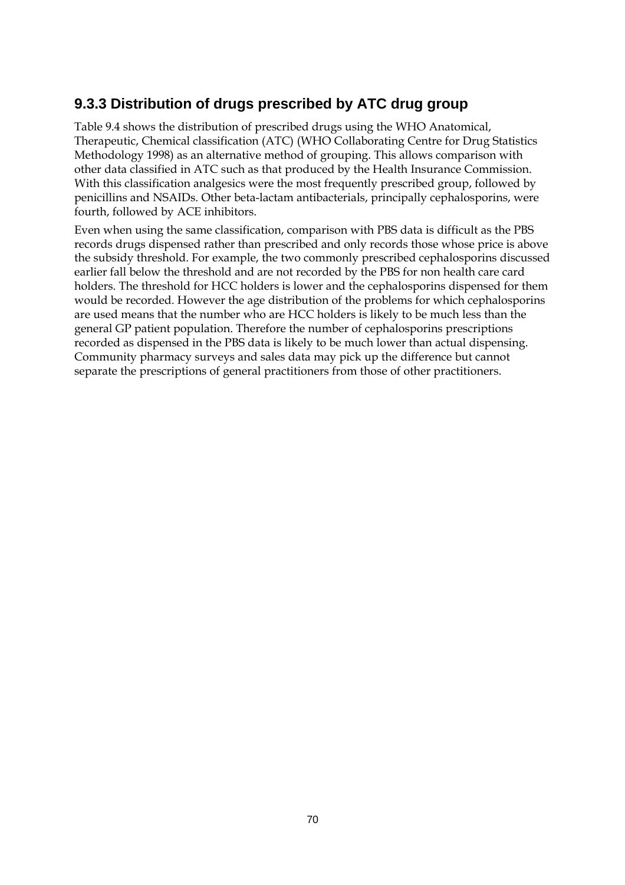### **9.3.3 Distribution of drugs prescribed by ATC drug group**

Table 9.4 shows the distribution of prescribed drugs using the WHO Anatomical, Therapeutic, Chemical classification (ATC) (WHO Collaborating Centre for Drug Statistics Methodology 1998) as an alternative method of grouping. This allows comparison with other data classified in ATC such as that produced by the Health Insurance Commission. With this classification analgesics were the most frequently prescribed group, followed by penicillins and NSAIDs. Other beta-lactam antibacterials, principally cephalosporins, were fourth, followed by ACE inhibitors.

Even when using the same classification, comparison with PBS data is difficult as the PBS records drugs dispensed rather than prescribed and only records those whose price is above the subsidy threshold. For example, the two commonly prescribed cephalosporins discussed earlier fall below the threshold and are not recorded by the PBS for non health care card holders. The threshold for HCC holders is lower and the cephalosporins dispensed for them would be recorded. However the age distribution of the problems for which cephalosporins are used means that the number who are HCC holders is likely to be much less than the general GP patient population. Therefore the number of cephalosporins prescriptions recorded as dispensed in the PBS data is likely to be much lower than actual dispensing. Community pharmacy surveys and sales data may pick up the difference but cannot separate the prescriptions of general practitioners from those of other practitioners.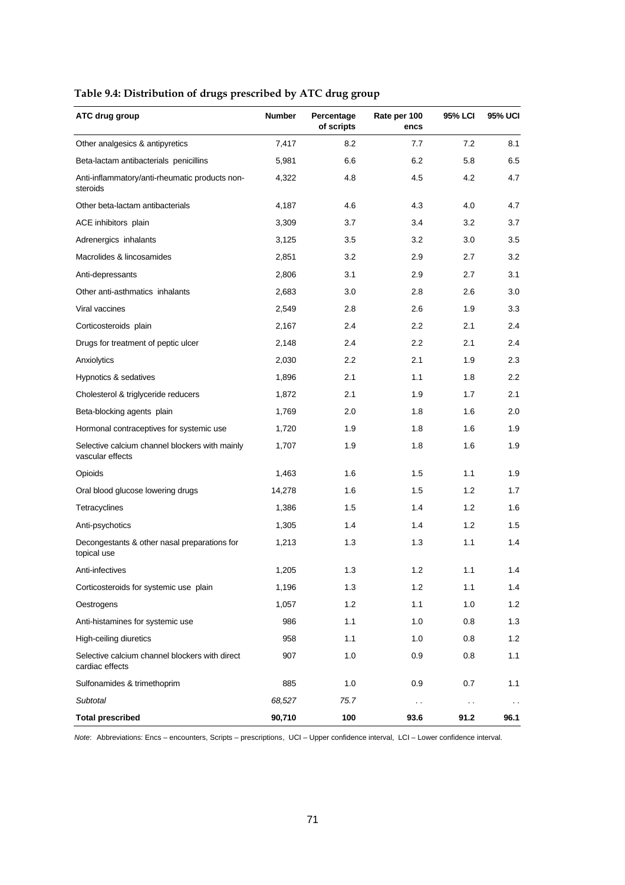| ATC drug group                                                     | <b>Number</b> | Percentage<br>of scripts | Rate per 100<br>encs | 95% LCI       | 95% UCI          |
|--------------------------------------------------------------------|---------------|--------------------------|----------------------|---------------|------------------|
| Other analgesics & antipyretics                                    | 7,417         | 8.2                      | 7.7                  | 7.2           | 8.1              |
| Beta-lactam antibacterials penicillins                             | 5,981         | 6.6                      | 6.2                  | 5.8           | 6.5              |
| Anti-inflammatory/anti-rheumatic products non-<br>steroids         | 4,322         | 4.8                      | 4.5                  | 4.2           | 4.7              |
| Other beta-lactam antibacterials                                   | 4,187         | 4.6                      | 4.3                  | 4.0           | 4.7              |
| ACE inhibitors plain                                               | 3,309         | 3.7                      | 3.4                  | 3.2           | 3.7              |
| Adrenergics inhalants                                              | 3,125         | 3.5                      | 3.2                  | 3.0           | 3.5              |
| Macrolides & lincosamides                                          | 2,851         | 3.2                      | 2.9                  | 2.7           | 3.2              |
| Anti-depressants                                                   | 2,806         | 3.1                      | 2.9                  | 2.7           | 3.1              |
| Other anti-asthmatics inhalants                                    | 2,683         | 3.0                      | 2.8                  | 2.6           | 3.0              |
| Viral vaccines                                                     | 2,549         | 2.8                      | 2.6                  | 1.9           | 3.3              |
| Corticosteroids plain                                              | 2,167         | 2.4                      | $2.2\phantom{0}$     | 2.1           | 2.4              |
| Drugs for treatment of peptic ulcer                                | 2,148         | 2.4                      | 2.2                  | 2.1           | 2.4              |
| Anxiolytics                                                        | 2,030         | 2.2                      | 2.1                  | 1.9           | 2.3              |
| Hypnotics & sedatives                                              | 1,896         | 2.1                      | 1.1                  | 1.8           | $2.2\phantom{0}$ |
| Cholesterol & triglyceride reducers                                | 1,872         | 2.1                      | 1.9                  | 1.7           | 2.1              |
| Beta-blocking agents plain                                         | 1,769         | 2.0                      | 1.8                  | 1.6           | 2.0              |
| Hormonal contraceptives for systemic use                           | 1,720         | 1.9                      | 1.8                  | 1.6           | 1.9              |
| Selective calcium channel blockers with mainly<br>vascular effects | 1,707         | 1.9                      | 1.8                  | 1.6           | 1.9              |
| Opioids                                                            | 1,463         | 1.6                      | 1.5                  | 1.1           | 1.9              |
| Oral blood glucose lowering drugs                                  | 14,278        | 1.6                      | 1.5                  | 1.2           | 1.7              |
| Tetracyclines                                                      | 1,386         | 1.5                      | 1.4                  | 1.2           | 1.6              |
| Anti-psychotics                                                    | 1,305         | 1.4                      | 1.4                  | 1.2           | 1.5              |
| Decongestants & other nasal preparations for<br>topical use        | 1,213         | 1.3                      | 1.3                  | 1.1           | 1.4              |
| Anti-infectives                                                    | 1,205         | 1.3                      | 1.2                  | 1.1           | 1.4              |
| Corticosteroids for systemic use plain                             | 1,196         | 1.3                      | 1.2                  | 1.1           | 1.4              |
| Oestrogens                                                         | 1,057         | 1.2                      | 1.1                  | 1.0           | 1.2              |
| Anti-histamines for systemic use                                   | 986           | 1.1                      | 1.0                  | 0.8           | 1.3              |
| High-ceiling diuretics                                             | 958           | 1.1                      | 1.0                  | 0.8           | 1.2              |
| Selective calcium channel blockers with direct<br>cardiac effects  | 907           | 1.0                      | 0.9                  | 0.8           | 1.1              |
| Sulfonamides & trimethoprim                                        | 885           | 1.0                      | 0.9                  | 0.7           | 1.1              |
| Subtotal                                                           | 68,527        | 75.7                     | $\sim$               | $\sim$ $\sim$ | $\sim$           |
| <b>Total prescribed</b>                                            | 90,710        | 100                      | 93.6                 | 91.2          | 96.1             |

### **Table 9.4: Distribution of drugs prescribed by ATC drug group**

*Note*: Abbreviations: Encs – encounters, Scripts – prescriptions, UCI – Upper confidence interval, LCI – Lower confidence interval.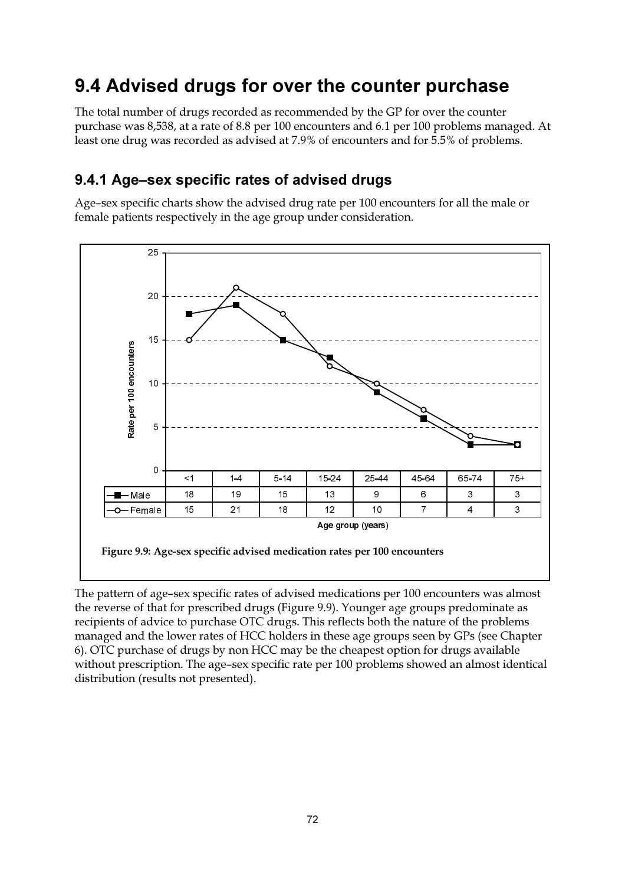## 9.4 Advised drugs for over the counter purchase

The total number of drugs recorded as recommended by the GP for over the counter purchase was 8,538, at a rate of 8.8 per 100 encounters and 6.1 per 100 problems managed. At least one drug was recorded as advised at 7.9% of encounters and for 5.5% of problems.

### 9.4.1 Age–sex specific rates of advised drugs

Age-sex specific charts show the advised drug rate per 100 encounters for all the male or female patients respectively in the age group under consideration.



The pattern of age-sex specific rates of advised medications per 100 encounters was almost the reverse of that for prescribed drugs (Figure 9.9). Younger age groups predominate as recipients of advice to purchase OTC drugs. This reflects both the nature of the problems managed and the lower rates of HCC holders in these age groups seen by GPs (see Chapter 6). OTC purchase of drugs by non HCC may be the cheapest option for drugs available without prescription. The age-sex specific rate per 100 problems showed an almost identical distribution (results not presented).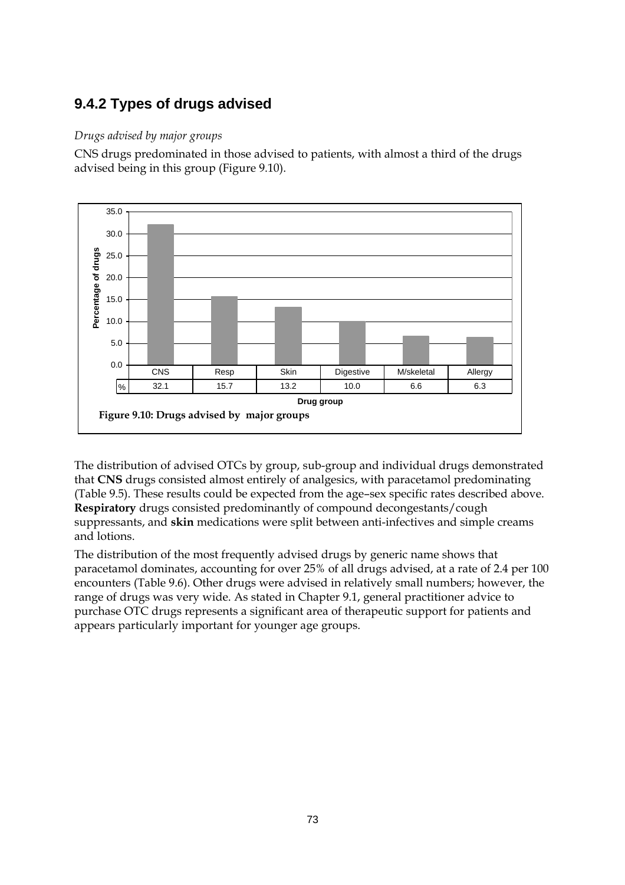### **9.4.2 Types of drugs advised**

#### *Drugs advised by major groups*

CNS drugs predominated in those advised to patients, with almost a third of the drugs advised being in this group (Figure 9.10).



The distribution of advised OTCs by group, sub-group and individual drugs demonstrated that **CNS** drugs consisted almost entirely of analgesics, with paracetamol predominating (Table 9.5). These results could be expected from the age–sex specific rates described above. **Respiratory** drugs consisted predominantly of compound decongestants/cough suppressants, and **skin** medications were split between anti-infectives and simple creams and lotions.

The distribution of the most frequently advised drugs by generic name shows that paracetamol dominates, accounting for over 25% of all drugs advised, at a rate of 2.4 per 100 encounters (Table 9.6). Other drugs were advised in relatively small numbers; however, the range of drugs was very wide. As stated in Chapter 9.1, general practitioner advice to purchase OTC drugs represents a significant area of therapeutic support for patients and appears particularly important for younger age groups.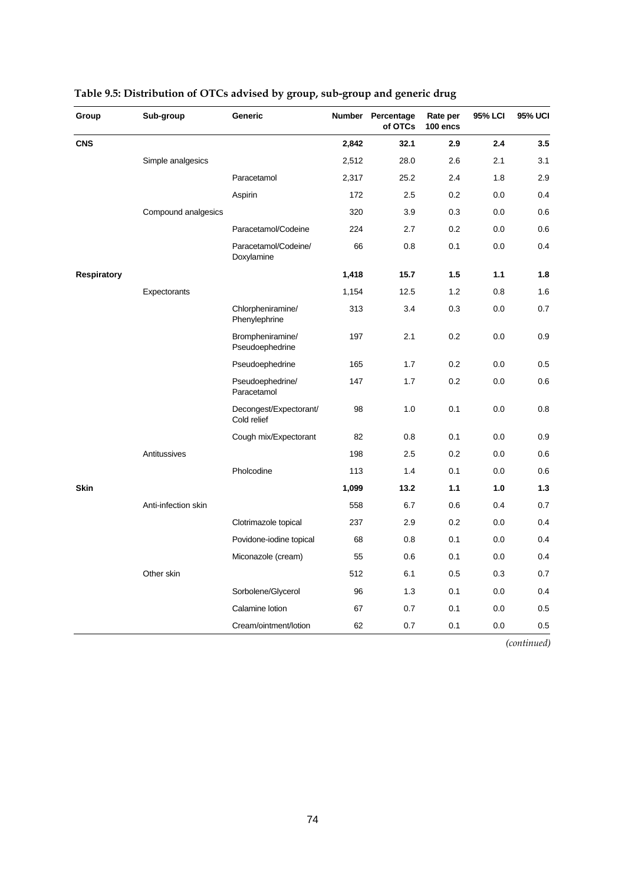| Group              | Sub-group           | Generic                               | <b>Number</b> | Percentage<br>of OTCs | Rate per<br>100 encs | 95% LCI | <b>95% UCI</b> |
|--------------------|---------------------|---------------------------------------|---------------|-----------------------|----------------------|---------|----------------|
| <b>CNS</b>         |                     |                                       | 2,842         | 32.1                  | 2.9                  | 2.4     | 3.5            |
|                    | Simple analgesics   |                                       | 2,512         | 28.0                  | 2.6                  | 2.1     | 3.1            |
|                    |                     | Paracetamol                           | 2,317         | 25.2                  | 2.4                  | 1.8     | 2.9            |
|                    |                     | Aspirin                               | 172           | 2.5                   | 0.2                  | 0.0     | 0.4            |
|                    | Compound analgesics |                                       | 320           | 3.9                   | 0.3                  | 0.0     | 0.6            |
|                    |                     | Paracetamol/Codeine                   | 224           | 2.7                   | 0.2                  | 0.0     | 0.6            |
|                    |                     | Paracetamol/Codeine/<br>Doxylamine    | 66            | 0.8                   | 0.1                  | 0.0     | 0.4            |
| <b>Respiratory</b> |                     |                                       | 1,418         | 15.7                  | 1.5                  | 1.1     | 1.8            |
|                    | Expectorants        |                                       | 1,154         | 12.5                  | 1.2                  | 0.8     | 1.6            |
|                    |                     | Chlorpheniramine/<br>Phenylephrine    | 313           | 3.4                   | 0.3                  | 0.0     | 0.7            |
|                    |                     | Brompheniramine/<br>Pseudoephedrine   | 197           | 2.1                   | 0.2                  | 0.0     | 0.9            |
|                    |                     | Pseudoephedrine                       | 165           | 1.7                   | 0.2                  | 0.0     | 0.5            |
|                    |                     | Pseudoephedrine/<br>Paracetamol       | 147           | 1.7                   | 0.2                  | 0.0     | 0.6            |
|                    |                     | Decongest/Expectorant/<br>Cold relief | 98            | 1.0                   | 0.1                  | 0.0     | 0.8            |
|                    |                     | Cough mix/Expectorant                 | 82            | 0.8                   | 0.1                  | 0.0     | 0.9            |
|                    | Antitussives        |                                       | 198           | 2.5                   | 0.2                  | 0.0     | 0.6            |
|                    |                     | Pholcodine                            | 113           | 1.4                   | 0.1                  | 0.0     | 0.6            |
| <b>Skin</b>        |                     |                                       | 1,099         | 13.2                  | 1.1                  | 1.0     | $1.3$          |
|                    | Anti-infection skin |                                       | 558           | 6.7                   | 0.6                  | 0.4     | 0.7            |
|                    |                     | Clotrimazole topical                  | 237           | 2.9                   | 0.2                  | 0.0     | 0.4            |
|                    |                     | Povidone-iodine topical               | 68            | 0.8                   | 0.1                  | 0.0     | 0.4            |
|                    |                     | Miconazole (cream)                    | 55            | 0.6                   | 0.1                  | 0.0     | 0.4            |
|                    | Other skin          |                                       | 512           | 6.1                   | 0.5                  | 0.3     | 0.7            |
|                    |                     | Sorbolene/Glycerol                    | 96            | 1.3                   | 0.1                  | 0.0     | 0.4            |
|                    |                     | Calamine lotion                       | 67            | 0.7                   | 0.1                  | 0.0     | 0.5            |
|                    |                     | Cream/ointment/lotion                 | 62            | 0.7                   | 0.1                  | 0.0     | 0.5            |

### **Table 9.5: Distribution of OTCs advised by group, sub-group and generic drug**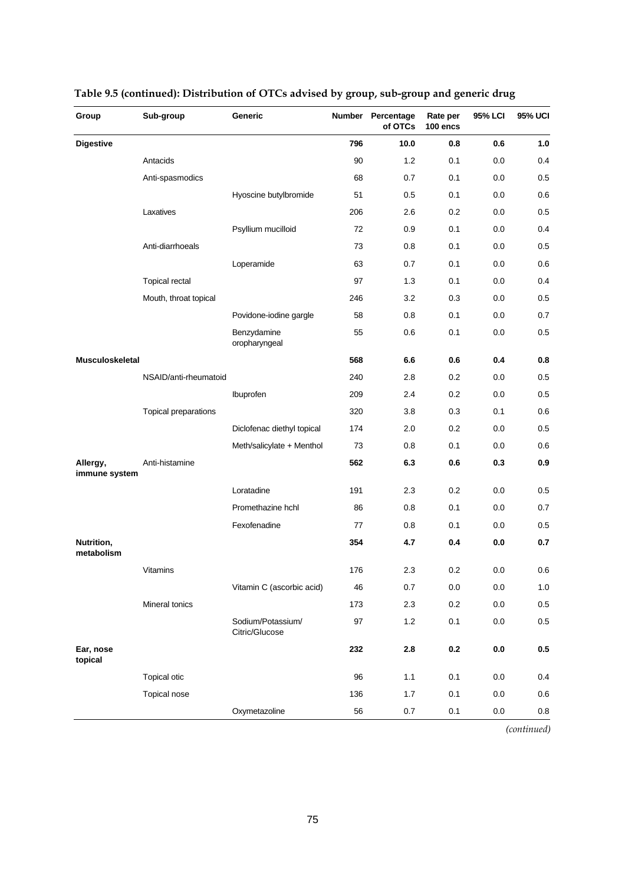| Group                     | Sub-group             | Generic                             | Number | Percentage<br>of OTCs | Rate per<br>100 encs | 95% LCI | <b>95% UCI</b> |
|---------------------------|-----------------------|-------------------------------------|--------|-----------------------|----------------------|---------|----------------|
| <b>Digestive</b>          |                       |                                     | 796    | 10.0                  | 0.8                  | 0.6     | 1.0            |
|                           | Antacids              |                                     | 90     | 1.2                   | 0.1                  | 0.0     | 0.4            |
|                           | Anti-spasmodics       |                                     | 68     | 0.7                   | 0.1                  | 0.0     | 0.5            |
|                           |                       | Hyoscine butylbromide               | 51     | 0.5                   | 0.1                  | 0.0     | 0.6            |
|                           | Laxatives             |                                     | 206    | 2.6                   | 0.2                  | 0.0     | 0.5            |
|                           |                       | Psyllium mucilloid                  | 72     | 0.9                   | 0.1                  | 0.0     | 0.4            |
|                           | Anti-diarrhoeals      |                                     | 73     | 0.8                   | 0.1                  | 0.0     | 0.5            |
|                           |                       | Loperamide                          | 63     | 0.7                   | 0.1                  | 0.0     | 0.6            |
|                           | Topical rectal        |                                     | 97     | 1.3                   | 0.1                  | 0.0     | 0.4            |
|                           | Mouth, throat topical |                                     | 246    | 3.2                   | 0.3                  | 0.0     | 0.5            |
|                           |                       | Povidone-iodine gargle              | 58     | 0.8                   | 0.1                  | 0.0     | 0.7            |
|                           |                       | Benzydamine<br>oropharyngeal        | 55     | 0.6                   | 0.1                  | 0.0     | 0.5            |
| <b>Musculoskeletal</b>    |                       |                                     | 568    | 6.6                   | 0.6                  | 0.4     | 0.8            |
|                           | NSAID/anti-rheumatoid |                                     | 240    | 2.8                   | 0.2                  | 0.0     | 0.5            |
|                           |                       | Ibuprofen                           | 209    | 2.4                   | 0.2                  | 0.0     | 0.5            |
|                           | Topical preparations  |                                     | 320    | 3.8                   | 0.3                  | 0.1     | 0.6            |
|                           |                       | Diclofenac diethyl topical          | 174    | 2.0                   | 0.2                  | 0.0     | 0.5            |
|                           |                       | Meth/salicylate + Menthol           | 73     | 0.8                   | 0.1                  | 0.0     | 0.6            |
| Allergy,<br>immune system | Anti-histamine        |                                     | 562    | 6.3                   | 0.6                  | 0.3     | 0.9            |
|                           |                       | Loratadine                          | 191    | 2.3                   | 0.2                  | 0.0     | 0.5            |
|                           |                       | Promethazine hchl                   | 86     | 0.8                   | 0.1                  | 0.0     | 0.7            |
|                           |                       | Fexofenadine                        | 77     | 0.8                   | 0.1                  | 0.0     | 0.5            |
| Nutrition,<br>metabolism  |                       |                                     | 354    | 4.7                   | 0.4                  | 0.0     | 0.7            |
|                           | Vitamins              |                                     | 176    | 2.3                   | 0.2                  | 0.0     | 0.6            |
|                           |                       | Vitamin C (ascorbic acid)           | 46     | $0.7\,$               | $0.0\,$              | $0.0\,$ | $1.0$          |
|                           | Mineral tonics        |                                     | 173    | 2.3                   | 0.2                  | 0.0     | 0.5            |
|                           |                       | Sodium/Potassium/<br>Citric/Glucose | 97     | 1.2                   | 0.1                  | 0.0     | $0.5\,$        |
| Ear, nose<br>topical      |                       |                                     | 232    | 2.8                   | $0.2\,$              | $0.0\,$ | 0.5            |
|                           | <b>Topical otic</b>   |                                     | 96     | 1.1                   | 0.1                  | 0.0     | 0.4            |
|                           | Topical nose          |                                     | 136    | 1.7                   | 0.1                  | 0.0     | 0.6            |
|                           |                       | Oxymetazoline                       | 56     | 0.7                   | 0.1                  | 0.0     | $0.8\,$        |

### **Table 9.5 (continued): Distribution of OTCs advised by group, sub-group and generic drug**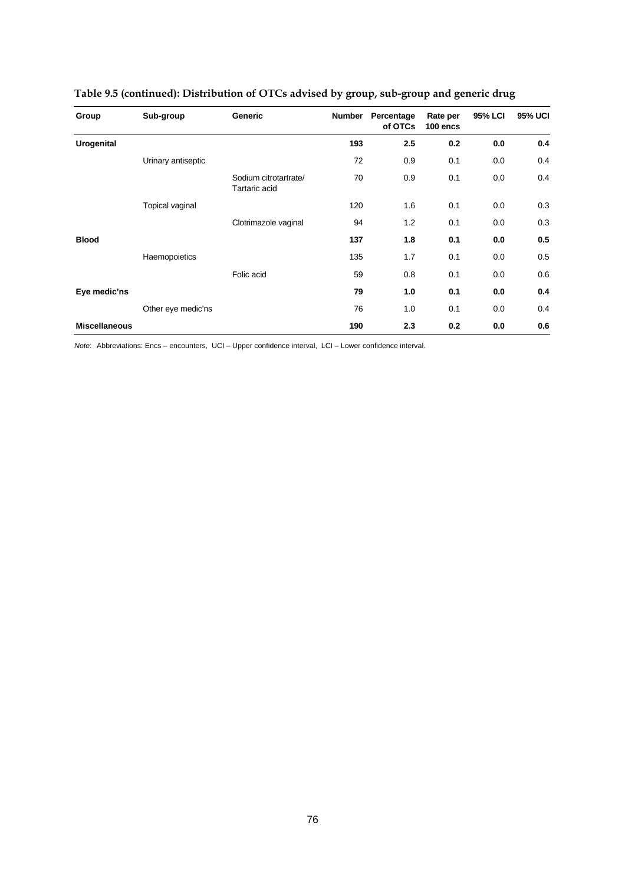| Group                | Sub-group          | <b>Generic</b>                         | <b>Number</b> | Percentage<br>of OTCs | Rate per<br>100 encs | <b>95% LCI</b> | <b>95% UCI</b> |
|----------------------|--------------------|----------------------------------------|---------------|-----------------------|----------------------|----------------|----------------|
| <b>Urogenital</b>    |                    |                                        | 193           | 2.5                   | 0.2                  | 0.0            | 0.4            |
|                      | Urinary antiseptic |                                        | 72            | 0.9                   | 0.1                  | 0.0            | 0.4            |
|                      |                    | Sodium citrotartrate/<br>Tartaric acid | 70            | 0.9                   | 0.1                  | 0.0            | 0.4            |
|                      | Topical vaginal    |                                        | 120           | 1.6                   | 0.1                  | 0.0            | 0.3            |
|                      |                    | Clotrimazole vaginal                   | 94            | 1.2                   | 0.1                  | 0.0            | 0.3            |
| <b>Blood</b>         |                    |                                        | 137           | 1.8                   | 0.1                  | 0.0            | 0.5            |
|                      | Haemopoietics      |                                        | 135           | 1.7                   | 0.1                  | 0.0            | 0.5            |
|                      |                    | Folic acid                             | 59            | 0.8                   | 0.1                  | 0.0            | 0.6            |
| Eye medic'ns         |                    |                                        | 79            | 1.0                   | 0.1                  | 0.0            | 0.4            |
|                      | Other eye medic'ns |                                        | 76            | 1.0                   | 0.1                  | 0.0            | 0.4            |
| <b>Miscellaneous</b> |                    |                                        | 190           | 2.3                   | 0.2                  | 0.0            | 0.6            |

### **Table 9.5 (continued): Distribution of OTCs advised by group, sub-group and generic drug**

*Note*: Abbreviations: Encs – encounters, UCI – Upper confidence interval, LCI – Lower confidence interval.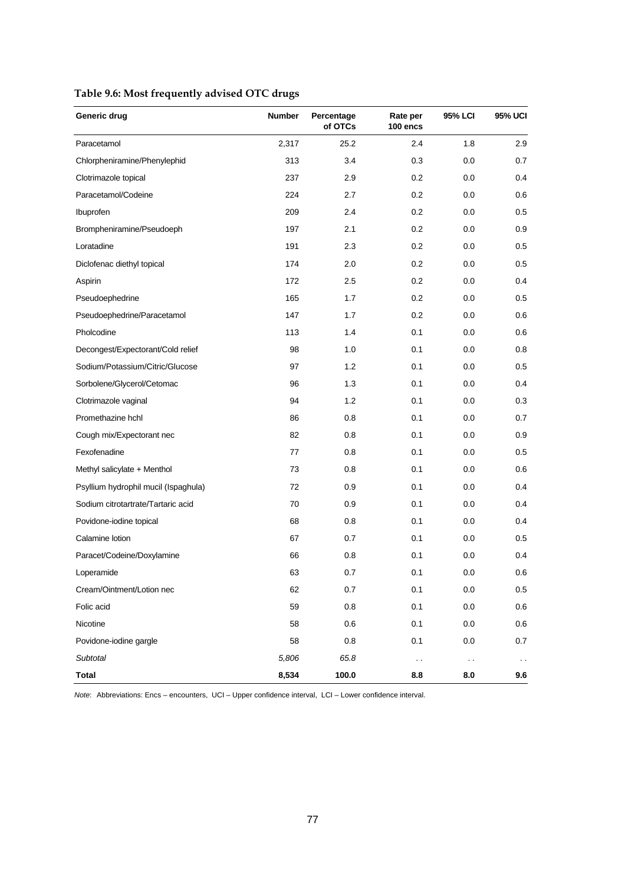| Generic drug                         | <b>Number</b> | Percentage<br>of OTCs | Rate per<br>100 encs | 95% LCI | 95% UCI       |
|--------------------------------------|---------------|-----------------------|----------------------|---------|---------------|
| Paracetamol                          | 2,317         | 25.2                  | 2.4                  | 1.8     | 2.9           |
| Chlorpheniramine/Phenylephid         | 313           | 3.4                   | 0.3                  | 0.0     | 0.7           |
| Clotrimazole topical                 | 237           | 2.9                   | 0.2                  | 0.0     | 0.4           |
| Paracetamol/Codeine                  | 224           | 2.7                   | 0.2                  | 0.0     | 0.6           |
| Ibuprofen                            | 209           | 2.4                   | 0.2                  | 0.0     | 0.5           |
| Brompheniramine/Pseudoeph            | 197           | 2.1                   | 0.2                  | 0.0     | 0.9           |
| Loratadine                           | 191           | 2.3                   | 0.2                  | 0.0     | 0.5           |
| Diclofenac diethyl topical           | 174           | 2.0                   | 0.2                  | 0.0     | 0.5           |
| Aspirin                              | 172           | 2.5                   | 0.2                  | 0.0     | 0.4           |
| Pseudoephedrine                      | 165           | 1.7                   | 0.2                  | 0.0     | 0.5           |
| Pseudoephedrine/Paracetamol          | 147           | 1.7                   | 0.2                  | 0.0     | 0.6           |
| Pholcodine                           | 113           | 1.4                   | 0.1                  | 0.0     | 0.6           |
| Decongest/Expectorant/Cold relief    | 98            | 1.0                   | 0.1                  | 0.0     | 0.8           |
| Sodium/Potassium/Citric/Glucose      | 97            | 1.2                   | 0.1                  | 0.0     | 0.5           |
| Sorbolene/Glycerol/Cetomac           | 96            | 1.3                   | 0.1                  | 0.0     | 0.4           |
| Clotrimazole vaginal                 | 94            | 1.2                   | 0.1                  | 0.0     | 0.3           |
| Promethazine hchl                    | 86            | 0.8                   | 0.1                  | 0.0     | 0.7           |
| Cough mix/Expectorant nec            | 82            | 0.8                   | 0.1                  | 0.0     | 0.9           |
| Fexofenadine                         | 77            | 0.8                   | 0.1                  | 0.0     | 0.5           |
| Methyl salicylate + Menthol          | 73            | 0.8                   | 0.1                  | 0.0     | 0.6           |
| Psyllium hydrophil mucil (Ispaghula) | 72            | 0.9                   | 0.1                  | 0.0     | 0.4           |
| Sodium citrotartrate/Tartaric acid   | 70            | 0.9                   | 0.1                  | 0.0     | 0.4           |
| Povidone-iodine topical              | 68            | 0.8                   | 0.1                  | 0.0     | 0.4           |
| Calamine lotion                      | 67            | 0.7                   | 0.1                  | 0.0     | 0.5           |
| Paracet/Codeine/Doxylamine           | 66            | 0.8                   | 0.1                  | 0.0     | 0.4           |
| Loperamide                           | 63            | 0.7                   | 0.1                  | 0.0     | 0.6           |
| Cream/Ointment/Lotion nec            | 62            | 0.7                   | 0.1                  | 0.0     | 0.5           |
| Folic acid                           | 59            | 0.8                   | 0.1                  | 0.0     | 0.6           |
| Nicotine                             | 58            | 0.6                   | 0.1                  | 0.0     | 0.6           |
| Povidone-iodine gargle               | 58            | 0.8                   | 0.1                  | 0.0     | 0.7           |
| Subtotal                             | 5,806         | 65.8                  | $\sim$ $\sim$        | $\sim$  | $\sim$ $\sim$ |
| <b>Total</b>                         | 8,534         | 100.0                 | 8.8                  | 8.0     | 9.6           |

### **Table 9.6: Most frequently advised OTC drugs**

*Note*: Abbreviations: Encs – encounters, UCI – Upper confidence interval, LCI – Lower confidence interval.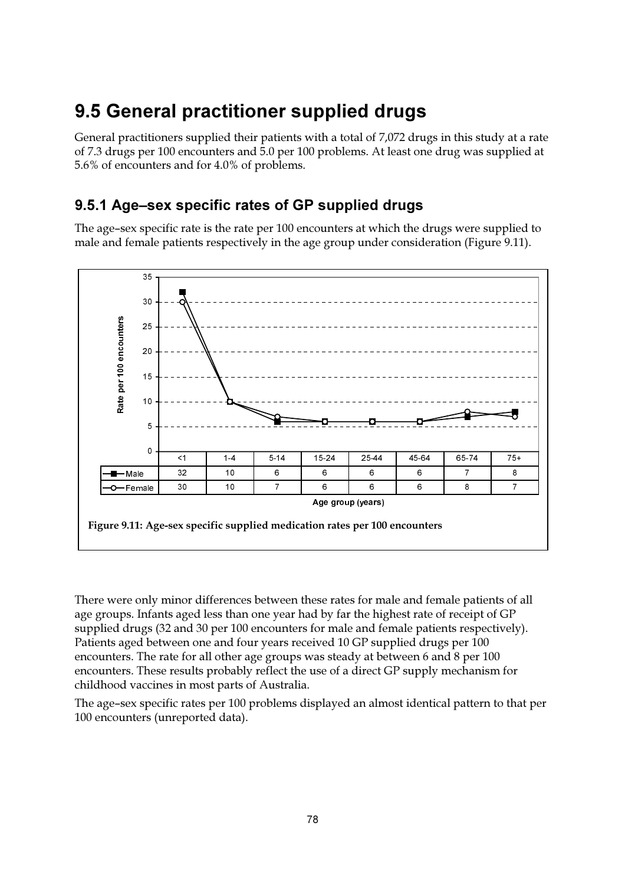## 9.5 General practitioner supplied drugs

General practitioners supplied their patients with a total of 7,072 drugs in this study at a rate of 7.3 drugs per 100 encounters and 5.0 per 100 problems. At least one drug was supplied at 5.6% of encounters and for 4.0% of problems.

### 9.5.1 Age-sex specific rates of GP supplied drugs

The age-sex specific rate is the rate per 100 encounters at which the drugs were supplied to male and female patients respectively in the age group under consideration (Figure 9.11).



There were only minor differences between these rates for male and female patients of all age groups. Infants aged less than one year had by far the highest rate of receipt of GP supplied drugs (32 and 30 per 100 encounters for male and female patients respectively). Patients aged between one and four years received 10 GP supplied drugs per 100 encounters. The rate for all other age groups was steady at between 6 and 8 per 100 encounters. These results probably reflect the use of a direct GP supply mechanism for childhood vaccines in most parts of Australia.

The age-sex specific rates per 100 problems displayed an almost identical pattern to that per 100 encounters (unreported data).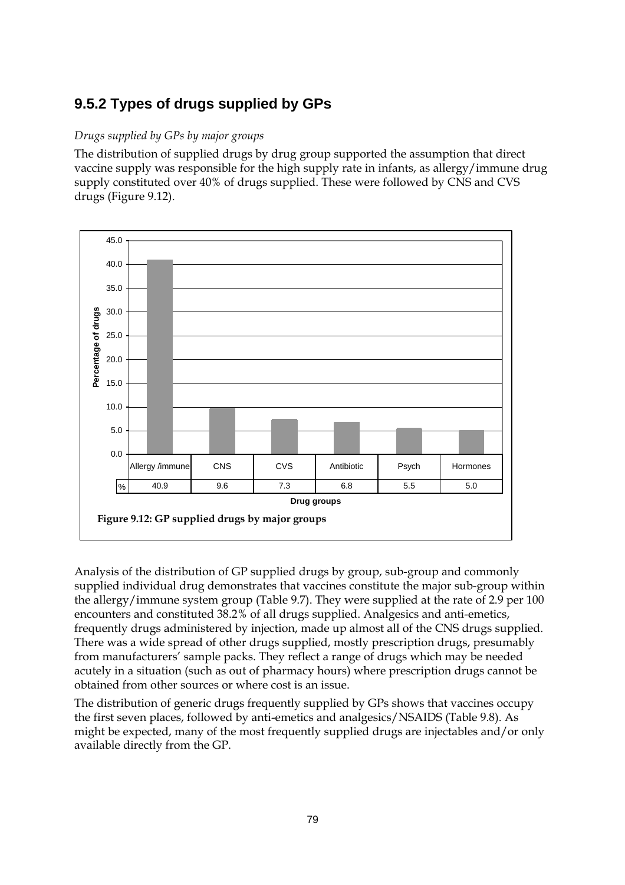### **9.5.2 Types of drugs supplied by GPs**

#### *Drugs supplied by GPs by major groups*

The distribution of supplied drugs by drug group supported the assumption that direct vaccine supply was responsible for the high supply rate in infants, as allergy/immune drug supply constituted over 40% of drugs supplied. These were followed by CNS and CVS drugs (Figure 9.12).



Analysis of the distribution of GP supplied drugs by group, sub-group and commonly supplied individual drug demonstrates that vaccines constitute the major sub-group within the allergy/immune system group (Table 9.7). They were supplied at the rate of 2.9 per 100 encounters and constituted 38.2% of all drugs supplied. Analgesics and anti-emetics, frequently drugs administered by injection, made up almost all of the CNS drugs supplied. There was a wide spread of other drugs supplied, mostly prescription drugs, presumably from manufacturers' sample packs. They reflect a range of drugs which may be needed acutely in a situation (such as out of pharmacy hours) where prescription drugs cannot be obtained from other sources or where cost is an issue.

The distribution of generic drugs frequently supplied by GPs shows that vaccines occupy the first seven places, followed by anti-emetics and analgesics/NSAIDS (Table 9.8). As might be expected, many of the most frequently supplied drugs are injectables and/or only available directly from the GP.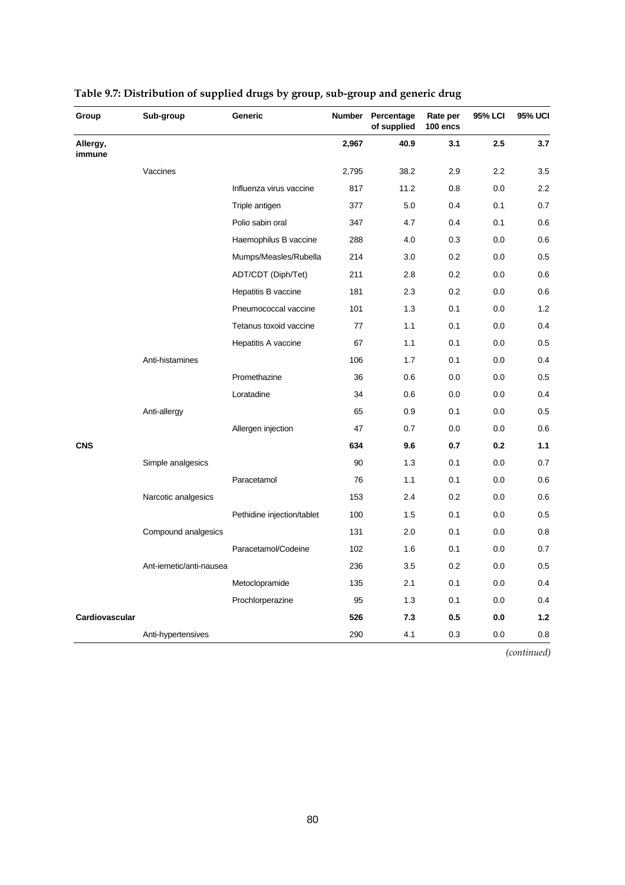| Group              | Sub-group               | Generic                    | <b>Number</b> | Percentage<br>of supplied | Rate per<br>100 encs | 95% LCI | 95% UCI |
|--------------------|-------------------------|----------------------------|---------------|---------------------------|----------------------|---------|---------|
| Allergy,<br>immune |                         |                            | 2,967         | 40.9                      | 3.1                  | 2.5     | 3.7     |
|                    | Vaccines                |                            | 2,795         | 38.2                      | 2.9                  | 2.2     | 3.5     |
|                    |                         | Influenza virus vaccine    | 817           | 11.2                      | 0.8                  | 0.0     | 2.2     |
|                    |                         | Triple antigen             | 377           | 5.0                       | 0.4                  | 0.1     | 0.7     |
|                    |                         | Polio sabin oral           | 347           | 4.7                       | 0.4                  | 0.1     | 0.6     |
|                    |                         | Haemophilus B vaccine      | 288           | 4.0                       | 0.3                  | 0.0     | 0.6     |
|                    |                         | Mumps/Measles/Rubella      | 214           | 3.0                       | 0.2                  | 0.0     | 0.5     |
|                    |                         | ADT/CDT (Diph/Tet)         | 211           | 2.8                       | 0.2                  | 0.0     | 0.6     |
|                    |                         | Hepatitis B vaccine        | 181           | 2.3                       | 0.2                  | 0.0     | 0.6     |
|                    |                         | Pneumococcal vaccine       | 101           | 1.3                       | 0.1                  | 0.0     | 1.2     |
|                    |                         | Tetanus toxoid vaccine     | 77            | 1.1                       | 0.1                  | 0.0     | 0.4     |
|                    |                         | Hepatitis A vaccine        | 67            | 1.1                       | 0.1                  | 0.0     | 0.5     |
|                    | Anti-histamines         |                            | 106           | 1.7                       | 0.1                  | 0.0     | 0.4     |
|                    |                         | Promethazine               | 36            | 0.6                       | 0.0                  | 0.0     | 0.5     |
|                    |                         | Loratadine                 | 34            | 0.6                       | 0.0                  | 0.0     | 0.4     |
|                    | Anti-allergy            |                            | 65            | 0.9                       | 0.1                  | 0.0     | 0.5     |
|                    |                         | Allergen injection         | 47            | 0.7                       | 0.0                  | 0.0     | 0.6     |
| <b>CNS</b>         |                         |                            | 634           | 9.6                       | 0.7                  | 0.2     | 1.1     |
|                    | Simple analgesics       |                            | 90            | 1.3                       | 0.1                  | 0.0     | 0.7     |
|                    |                         | Paracetamol                | 76            | 1.1                       | 0.1                  | 0.0     | 0.6     |
|                    | Narcotic analgesics     |                            | 153           | 2.4                       | 0.2                  | 0.0     | 0.6     |
|                    |                         | Pethidine injection/tablet | 100           | 1.5                       | 0.1                  | 0.0     | 0.5     |
|                    | Compound analgesics     |                            | 131           | 2.0                       | 0.1                  | 0.0     | 0.8     |
|                    |                         | Paracetamol/Codeine        | 102           | 1.6                       | 0.1                  | 0.0     | 0.7     |
|                    | Ant-iemetic/anti-nausea |                            | 236           | 3.5                       | 0.2                  | 0.0     | 0.5     |
|                    |                         | Metoclopramide             | 135           | 2.1                       | 0.1                  | 0.0     | 0.4     |
|                    |                         | Prochlorperazine           | 95            | 1.3                       | 0.1                  | 0.0     | 0.4     |
| Cardiovascular     |                         |                            | 526           | 7.3                       | 0.5                  | 0.0     | 1.2     |
|                    | Anti-hypertensives      |                            | 290           | 4.1                       | 0.3                  | 0.0     | 0.8     |

### **Table 9.7: Distribution of supplied drugs by group, sub-group and generic drug**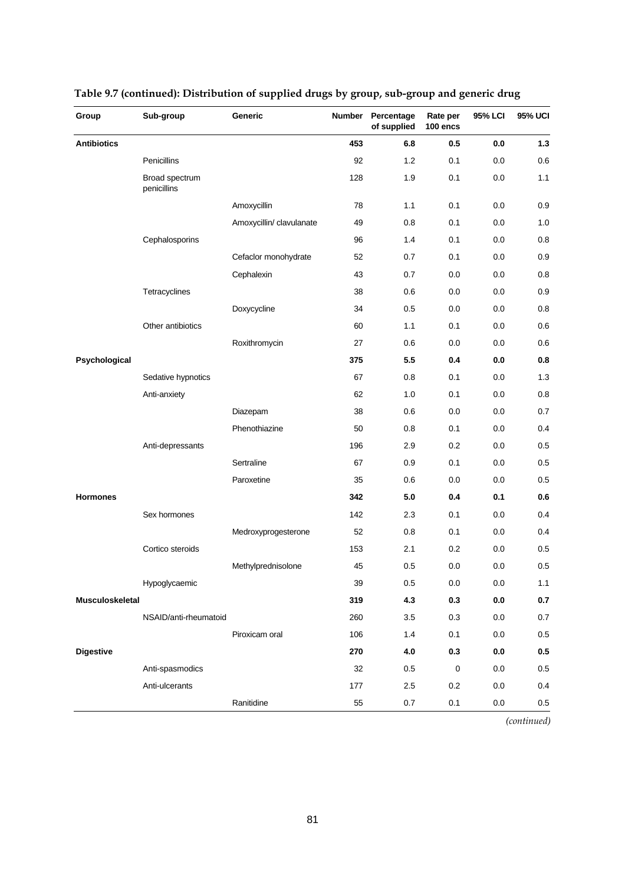| Group              | Sub-group                     | Generic                  | <b>Number</b> | Percentage<br>of supplied | Rate per<br>100 encs | 95% LCI | <b>95% UCI</b> |
|--------------------|-------------------------------|--------------------------|---------------|---------------------------|----------------------|---------|----------------|
| <b>Antibiotics</b> |                               |                          | 453           | 6.8                       | 0.5                  | 0.0     | $1.3$          |
|                    | Penicillins                   |                          | 92            | 1.2                       | 0.1                  | 0.0     | 0.6            |
|                    | Broad spectrum<br>penicillins |                          | 128           | 1.9                       | 0.1                  | 0.0     | 1.1            |
|                    |                               | Amoxycillin              | 78            | 1.1                       | 0.1                  | 0.0     | 0.9            |
|                    |                               | Amoxycillin/ clavulanate | 49            | 0.8                       | 0.1                  | 0.0     | 1.0            |
|                    | Cephalosporins                |                          | 96            | 1.4                       | 0.1                  | 0.0     | 0.8            |
|                    |                               | Cefaclor monohydrate     | 52            | 0.7                       | 0.1                  | 0.0     | 0.9            |
|                    |                               | Cephalexin               | 43            | 0.7                       | 0.0                  | 0.0     | 0.8            |
|                    | Tetracyclines                 |                          | 38            | 0.6                       | 0.0                  | 0.0     | 0.9            |
|                    |                               | Doxycycline              | 34            | 0.5                       | 0.0                  | 0.0     | 0.8            |
|                    | Other antibiotics             |                          | 60            | 1.1                       | 0.1                  | 0.0     | 0.6            |
|                    |                               | Roxithromycin            | 27            | 0.6                       | 0.0                  | 0.0     | 0.6            |
| Psychological      |                               |                          | 375           | 5.5                       | 0.4                  | 0.0     | 0.8            |
|                    | Sedative hypnotics            |                          | 67            | 0.8                       | 0.1                  | 0.0     | 1.3            |
|                    | Anti-anxiety                  |                          | 62            | 1.0                       | 0.1                  | 0.0     | 0.8            |
|                    |                               | Diazepam                 | 38            | 0.6                       | 0.0                  | 0.0     | 0.7            |
|                    |                               | Phenothiazine            | 50            | 0.8                       | 0.1                  | 0.0     | 0.4            |
|                    | Anti-depressants              |                          | 196           | 2.9                       | 0.2                  | 0.0     | 0.5            |
|                    |                               | Sertraline               | 67            | 0.9                       | 0.1                  | 0.0     | 0.5            |
|                    |                               | Paroxetine               | 35            | 0.6                       | 0.0                  | 0.0     | 0.5            |
| <b>Hormones</b>    |                               |                          | 342           | 5.0                       | 0.4                  | 0.1     | 0.6            |
|                    | Sex hormones                  |                          | 142           | 2.3                       | 0.1                  | 0.0     | 0.4            |
|                    |                               | Medroxyprogesterone      | 52            | 0.8                       | 0.1                  | 0.0     | 0.4            |
|                    | Cortico steroids              |                          | 153           | 2.1                       | 0.2                  | 0.0     | 0.5            |
|                    |                               | Methylprednisolone       | 45            | 0.5                       | 0.0                  | 0.0     | 0.5            |
|                    | Hypoglycaemic                 |                          | 39            | 0.5                       | $0.0\,$              | $0.0\,$ | 1.1            |
| Musculoskeletal    |                               |                          | 319           | 4.3                       | 0.3                  | $0.0\,$ | $0.7\,$        |
|                    | NSAID/anti-rheumatoid         |                          | 260           | 3.5                       | 0.3                  | 0.0     | 0.7            |
|                    |                               | Piroxicam oral           | 106           | 1.4                       | 0.1                  | 0.0     | $0.5\,$        |
| <b>Digestive</b>   |                               |                          | 270           | 4.0                       | 0.3                  | 0.0     | $0.5\,$        |
|                    | Anti-spasmodics               |                          | 32            | 0.5                       | $\pmb{0}$            | 0.0     | 0.5            |
|                    | Anti-ulcerants                |                          | 177           | 2.5                       | 0.2                  | 0.0     | 0.4            |
|                    |                               | Ranitidine               | 55            | 0.7                       | 0.1                  | 0.0     | 0.5            |

### **Table 9.7 (continued): Distribution of supplied drugs by group, sub-group and generic drug**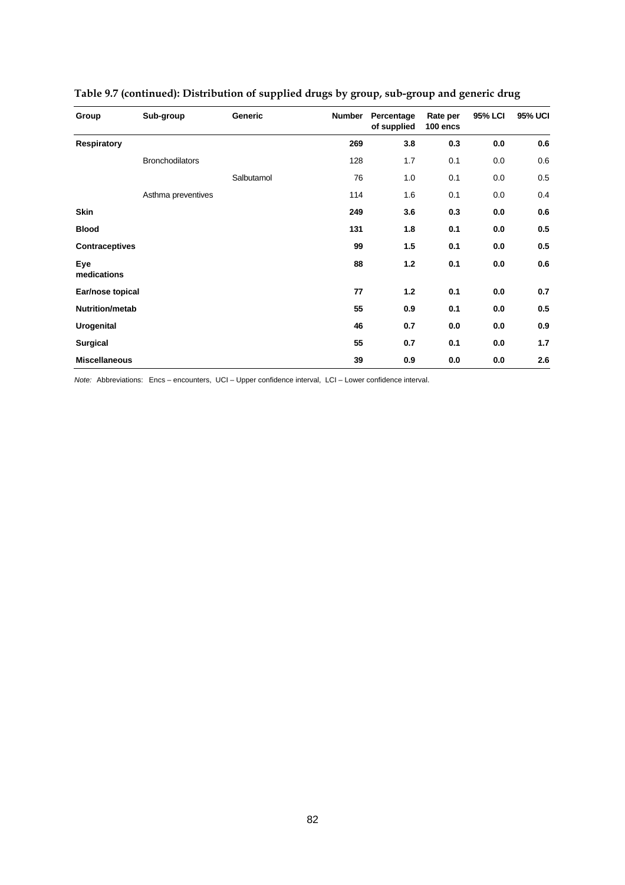| Group                 | Sub-group              | Generic    | <b>Number</b> | Percentage<br>of supplied | Rate per<br>100 encs | 95% LCI | <b>95% UCI</b> |
|-----------------------|------------------------|------------|---------------|---------------------------|----------------------|---------|----------------|
| <b>Respiratory</b>    |                        |            | 269           | 3.8                       | 0.3                  | 0.0     | 0.6            |
|                       | <b>Bronchodilators</b> |            | 128           | 1.7                       | 0.1                  | 0.0     | 0.6            |
|                       |                        | Salbutamol | 76            | 1.0                       | 0.1                  | 0.0     | 0.5            |
|                       | Asthma preventives     |            | 114           | 1.6                       | 0.1                  | 0.0     | 0.4            |
| <b>Skin</b>           |                        |            | 249           | 3.6                       | 0.3                  | 0.0     | 0.6            |
| <b>Blood</b>          |                        |            | 131           | 1.8                       | 0.1                  | 0.0     | 0.5            |
| <b>Contraceptives</b> |                        |            | 99            | 1.5                       | 0.1                  | 0.0     | 0.5            |
| Eye<br>medications    |                        |            | 88            | $1.2$                     | 0.1                  | 0.0     | 0.6            |
| Ear/nose topical      |                        |            | 77            | $1.2$                     | 0.1                  | 0.0     | 0.7            |
| Nutrition/metab       |                        |            | 55            | 0.9                       | 0.1                  | 0.0     | 0.5            |
| <b>Urogenital</b>     |                        |            | 46            | 0.7                       | 0.0                  | 0.0     | 0.9            |
| <b>Surgical</b>       |                        |            | 55            | 0.7                       | 0.1                  | 0.0     | 1.7            |
| <b>Miscellaneous</b>  |                        |            | 39            | 0.9                       | 0.0                  | 0.0     | 2.6            |

### **Table 9.7 (continued): Distribution of supplied drugs by group, sub-group and generic drug**

*Note:* Abbreviations: Encs – encounters, UCI – Upper confidence interval, LCI – Lower confidence interval.